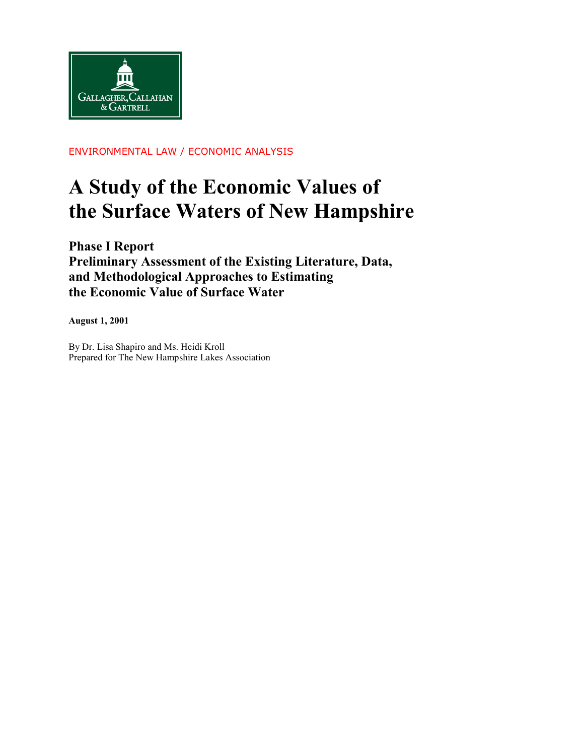

ENVIRONMENTAL LAW / ECONOMIC ANALYSIS

# **A Study of the Economic Values of the Surface Waters of New Hampshire**

**Phase I Report Preliminary Assessment of the Existing Literature, Data, and Methodological Approaches to Estimating the Economic Value of Surface Water**

**August 1, 2001**

By Dr. Lisa Shapiro and Ms. Heidi Kroll Prepared for The New Hampshire Lakes Association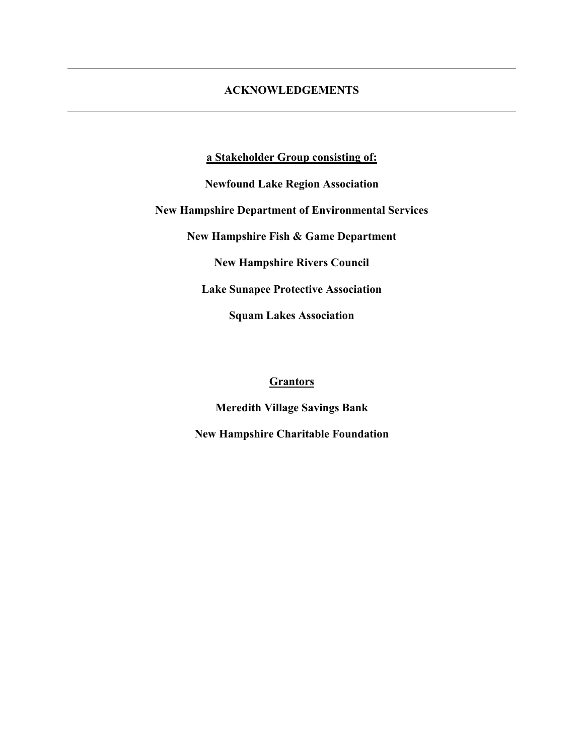## **ACKNOWLEDGEMENTS**

**a Stakeholder Group consisting of:**

**Newfound Lake Region Association**

**New Hampshire Department of Environmental Services**

**New Hampshire Fish & Game Department**

**New Hampshire Rivers Council**

**Lake Sunapee Protective Association**

**Squam Lakes Association**

#### **Grantors**

**Meredith Village Savings Bank**

**New Hampshire Charitable Foundation**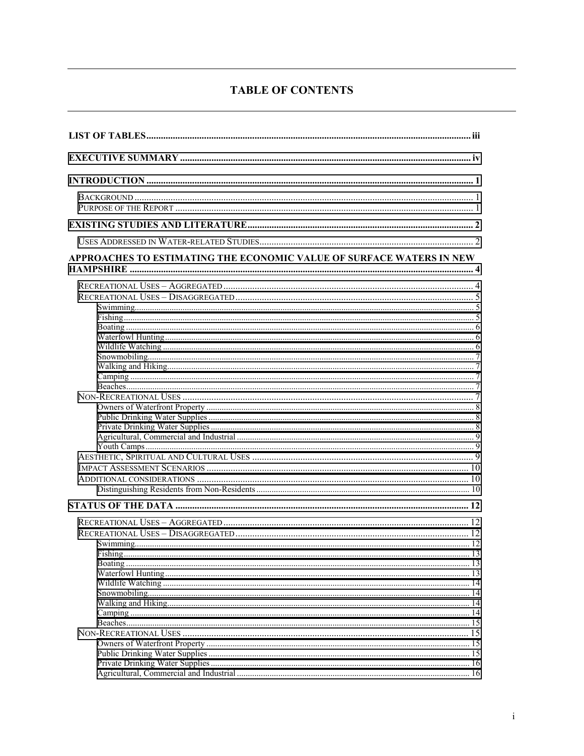# **TABLE OF CONTENTS**

| APPROACHES TO ESTIMATING THE ECONOMIC VALUE OF SURFACE WATERS IN NEW |  |
|----------------------------------------------------------------------|--|
|                                                                      |  |
|                                                                      |  |
|                                                                      |  |
|                                                                      |  |
|                                                                      |  |
|                                                                      |  |
|                                                                      |  |
|                                                                      |  |
|                                                                      |  |
|                                                                      |  |
|                                                                      |  |
|                                                                      |  |
|                                                                      |  |
|                                                                      |  |
|                                                                      |  |
|                                                                      |  |
|                                                                      |  |
|                                                                      |  |
|                                                                      |  |
|                                                                      |  |
|                                                                      |  |
|                                                                      |  |
|                                                                      |  |
|                                                                      |  |
|                                                                      |  |
|                                                                      |  |
|                                                                      |  |
|                                                                      |  |
|                                                                      |  |
|                                                                      |  |
|                                                                      |  |
|                                                                      |  |
|                                                                      |  |
|                                                                      |  |
|                                                                      |  |
|                                                                      |  |
|                                                                      |  |
|                                                                      |  |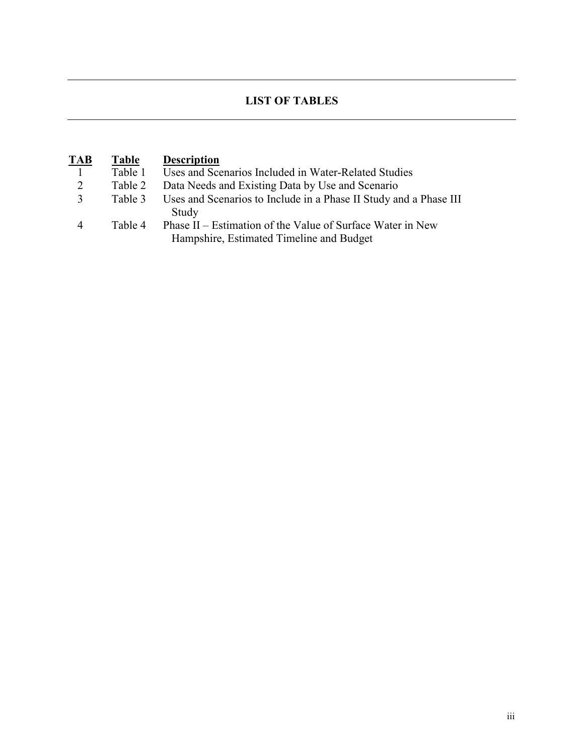# **LIST OF TABLES**

| <b>TAB</b>     | Table   | <b>Description</b>                                                                                     |
|----------------|---------|--------------------------------------------------------------------------------------------------------|
|                | Table 1 | Uses and Scenarios Included in Water-Related Studies                                                   |
| 2              | Table 2 | Data Needs and Existing Data by Use and Scenario                                                       |
| $\mathbf{R}$   | Table 3 | Uses and Scenarios to Include in a Phase II Study and a Phase III<br>Study                             |
| $\overline{4}$ | Table 4 | Phase II – Estimation of the Value of Surface Water in New<br>Hampshire, Estimated Timeline and Budget |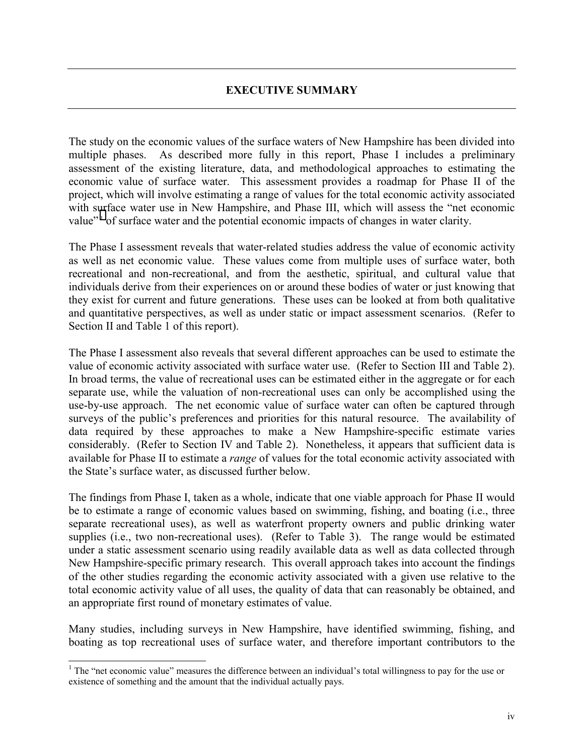<span id="page-5-0"></span>The study on the economic values of the surface waters of New Hampshire has been divided into multiple phases. As described more fully in this report, Phase I includes a preliminary assessment of the existing literature, data, and methodological approaches to estimating the economic value of surface water. This assessment provides a roadmap for Phase II of the project, which will involve estimating a range of values for the total economic activity associated with surface water use in New Hampshire, and Phase III, which will assess the "net economic value"<sup>1</sup> of surface water and the potential economic impacts of changes in water clarity.

The Phase I assessment reveals that water-related studies address the value of economic activity as well as net economic value. These values come from multiple uses of surface water, both recreational and non-recreational, and from the aesthetic, spiritual, and cultural value that individuals derive from their experiences on or around these bodies of water or just knowing that they exist for current and future generations. These uses can be looked at from both qualitative and quantitative perspectives, as well as under static or impact assessment scenarios. (Refer to Section II and Table 1 of this report).

The Phase I assessment also reveals that several different approaches can be used to estimate the value of economic activity associated with surface water use. (Refer to Section III and Table 2). In broad terms, the value of recreational uses can be estimated either in the aggregate or for each separate use, while the valuation of non-recreational uses can only be accomplished using the use-by-use approach. The net economic value of surface water can often be captured through surveys of the public's preferences and priorities for this natural resource. The availability of data required by these approaches to make a New Hampshire-specific estimate varies considerably. (Refer to Section IV and Table 2). Nonetheless, it appears that sufficient data is available for Phase II to estimate a *range* of values for the total economic activity associated with the State's surface water, as discussed further below.

The findings from Phase I, taken as a whole, indicate that one viable approach for Phase II would be to estimate a range of economic values based on swimming, fishing, and boating (i.e., three separate recreational uses), as well as waterfront property owners and public drinking water supplies (i.e., two non-recreational uses). (Refer to Table 3). The range would be estimated under a static assessment scenario using readily available data as well as data collected through New Hampshire-specific primary research. This overall approach takes into account the findings of the other studies regarding the economic activity associated with a given use relative to the total economic activity value of all uses, the quality of data that can reasonably be obtained, and an appropriate first round of monetary estimates of value.

Many studies, including surveys in New Hampshire, have identified swimming, fishing, and boating as top recreational uses of surface water, and therefore important contributors to the

<sup>&</sup>lt;sup>1</sup> The "net economic value" measures the difference between an individual's total willingness to pay for the use or existence of something and the amount that the individual actually pays.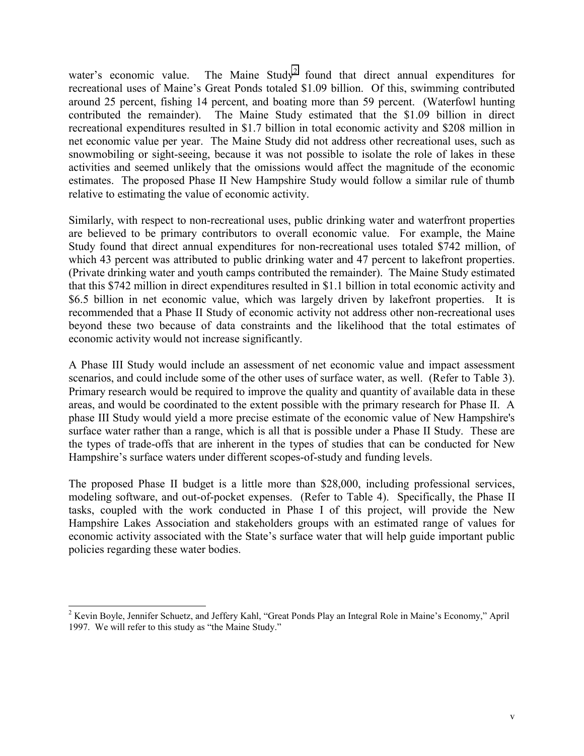water's economic value. The Maine  $Study^2$  found that direct annual expenditures for recreational uses of Maine's Great Ponds totaled \$1.09 billion. Of this, swimming contributed around 25 percent, fishing 14 percent, and boating more than 59 percent. (Waterfowl hunting contributed the remainder). The Maine Study estimated that the \$1.09 billion in direct recreational expenditures resulted in \$1.7 billion in total economic activity and \$208 million in net economic value per year. The Maine Study did not address other recreational uses, such as snowmobiling or sight-seeing, because it was not possible to isolate the role of lakes in these activities and seemed unlikely that the omissions would affect the magnitude of the economic estimates. The proposed Phase II New Hampshire Study would follow a similar rule of thumb relative to estimating the value of economic activity.

Similarly, with respect to non-recreational uses, public drinking water and waterfront properties are believed to be primary contributors to overall economic value. For example, the Maine Study found that direct annual expenditures for non-recreational uses totaled \$742 million, of which 43 percent was attributed to public drinking water and 47 percent to lakefront properties. (Private drinking water and youth camps contributed the remainder). The Maine Study estimated that this \$742 million in direct expenditures resulted in \$1.1 billion in total economic activity and \$6.5 billion in net economic value, which was largely driven by lakefront properties. It is recommended that a Phase II Study of economic activity not address other non-recreational uses beyond these two because of data constraints and the likelihood that the total estimates of economic activity would not increase significantly.

A Phase III Study would include an assessment of net economic value and impact assessment scenarios, and could include some of the other uses of surface water, as well. (Refer to Table 3). Primary research would be required to improve the quality and quantity of available data in these areas, and would be coordinated to the extent possible with the primary research for Phase II. A phase III Study would yield a more precise estimate of the economic value of New Hampshire's surface water rather than a range, which is all that is possible under a Phase II Study. These are the types of trade-offs that are inherent in the types of studies that can be conducted for New Hampshire's surface waters under different scopes-of-study and funding levels.

The proposed Phase II budget is a little more than \$28,000, including professional services, modeling software, and out-of-pocket expenses. (Refer to Table 4). Specifically, the Phase II tasks, coupled with the work conducted in Phase I of this project, will provide the New Hampshire Lakes Association and stakeholders groups with an estimated range of values for economic activity associated with the State's surface water that will help guide important public policies regarding these water bodies.

 $\overline{a}$ 

<sup>&</sup>lt;sup>2</sup> Kevin Boyle, Jennifer Schuetz, and Jeffery Kahl, "Great Ponds Play an Integral Role in Maine's Economy," April 1997. We will refer to this study as "the Maine Study."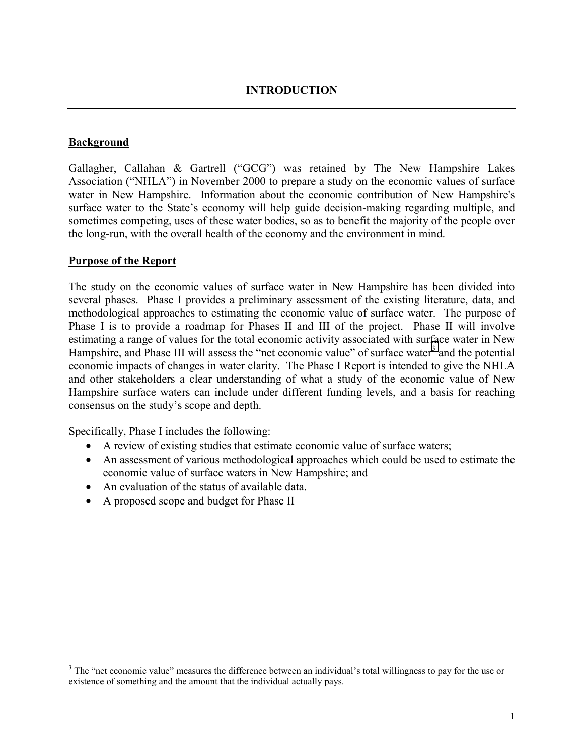## **INTRODUCTION**

## <span id="page-7-0"></span>**Background**

Gallagher, Callahan & Gartrell ("GCG") was retained by The New Hampshire Lakes Association ("NHLA") in November 2000 to prepare a study on the economic values of surface water in New Hampshire. Information about the economic contribution of New Hampshire's surface water to the State's economy will help guide decision-making regarding multiple, and sometimes competing, uses of these water bodies, so as to benefit the majority of the people over the long-run, with the overall health of the economy and the environment in mind.

#### **Purpose of the Report**

The study on the economic values of surface water in New Hampshire has been divided into several phases. Phase I provides a preliminary assessment of the existing literature, data, and methodological approaches to estimating the economic value of surface water. The purpose of Phase I is to provide a roadmap for Phases II and III of the project. Phase II will involve estimating a range of values for the total economic activity associated with surface water in New Hampshire, and Phase III will assess the "net economic value" of surface water<sup>3</sup> and the potential economic impacts of changes in water clarity. The Phase I Report is intended to give the NHLA and other stakeholders a clear understanding of what a study of the economic value of New Hampshire surface waters can include under different funding levels, and a basis for reaching consensus on the study's scope and depth.

Specifically, Phase I includes the following:

- A review of existing studies that estimate economic value of surface waters;
- An assessment of various methodological approaches which could be used to estimate the economic value of surface waters in New Hampshire; and
- An evaluation of the status of available data.
- A proposed scope and budget for Phase II

<sup>&</sup>lt;sup>3</sup> The "net economic value" measures the difference between an individual's total willingness to pay for the use or existence of something and the amount that the individual actually pays.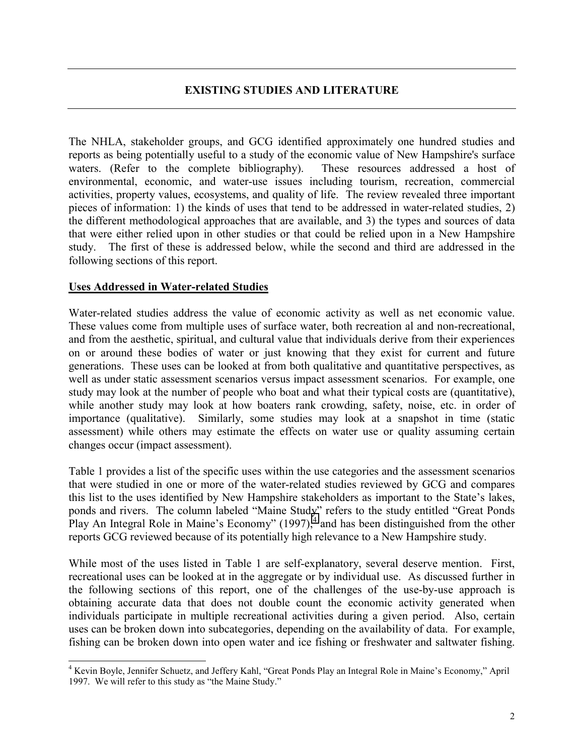# **EXISTING STUDIES AND LITERATURE**

<span id="page-8-0"></span>The NHLA, stakeholder groups, and GCG identified approximately one hundred studies and reports as being potentially useful to a study of the economic value of New Hampshire's surface waters. (Refer to the complete bibliography). These resources addressed a host of environmental, economic, and water-use issues including tourism, recreation, commercial activities, property values, ecosystems, and quality of life. The review revealed three important pieces of information: 1) the kinds of uses that tend to be addressed in water-related studies, 2) the different methodological approaches that are available, and 3) the types and sources of data that were either relied upon in other studies or that could be relied upon in a New Hampshire study. The first of these is addressed below, while the second and third are addressed in the following sections of this report.

## **Uses Addressed in Water-related Studies**

Water-related studies address the value of economic activity as well as net economic value. These values come from multiple uses of surface water, both recreation al and non-recreational, and from the aesthetic, spiritual, and cultural value that individuals derive from their experiences on or around these bodies of water or just knowing that they exist for current and future generations. These uses can be looked at from both qualitative and quantitative perspectives, as well as under static assessment scenarios versus impact assessment scenarios. For example, one study may look at the number of people who boat and what their typical costs are (quantitative), while another study may look at how boaters rank crowding, safety, noise, etc. in order of importance (qualitative). Similarly, some studies may look at a snapshot in time (static assessment) while others may estimate the effects on water use or quality assuming certain changes occur (impact assessment).

Table 1 provides a list of the specific uses within the use categories and the assessment scenarios that were studied in one or more of the water-related studies reviewed by GCG and compares this list to the uses identified by New Hampshire stakeholders as important to the State's lakes, ponds and rivers. The column labeled "Maine Study" refers to the study entitled "Great Ponds Play An Integral Role in Maine's Economy"  $(1997)$ ,  $4$  and has been distinguished from the other reports GCG reviewed because of its potentially high relevance to a New Hampshire study.

While most of the uses listed in Table 1 are self-explanatory, several deserve mention. First, recreational uses can be looked at in the aggregate or by individual use. As discussed further in the following sections of this report, one of the challenges of the use-by-use approach is obtaining accurate data that does not double count the economic activity generated when individuals participate in multiple recreational activities during a given period. Also, certain uses can be broken down into subcategories, depending on the availability of data. For example, fishing can be broken down into open water and ice fishing or freshwater and saltwater fishing.

 4 Kevin Boyle, Jennifer Schuetz, and Jeffery Kahl, "Great Ponds Play an Integral Role in Maine's Economy," April 1997. We will refer to this study as "the Maine Study."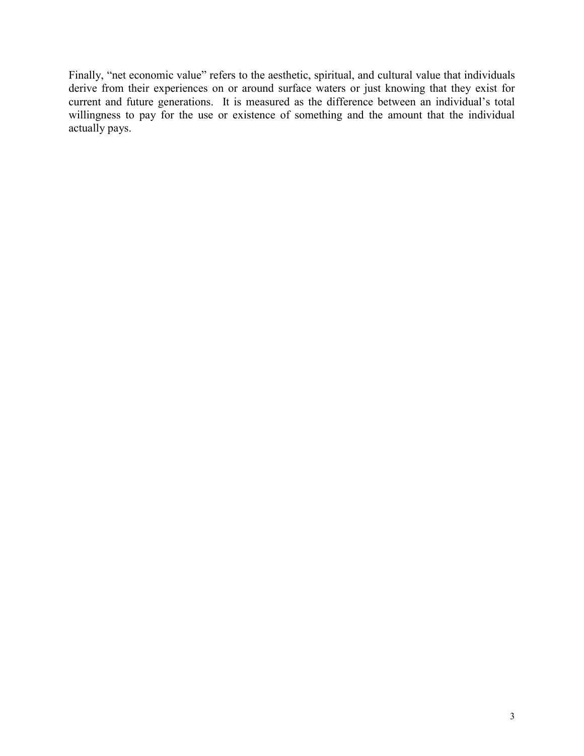Finally, "net economic value" refers to the aesthetic, spiritual, and cultural value that individuals derive from their experiences on or around surface waters or just knowing that they exist for current and future generations. It is measured as the difference between an individual's total willingness to pay for the use or existence of something and the amount that the individual actually pays.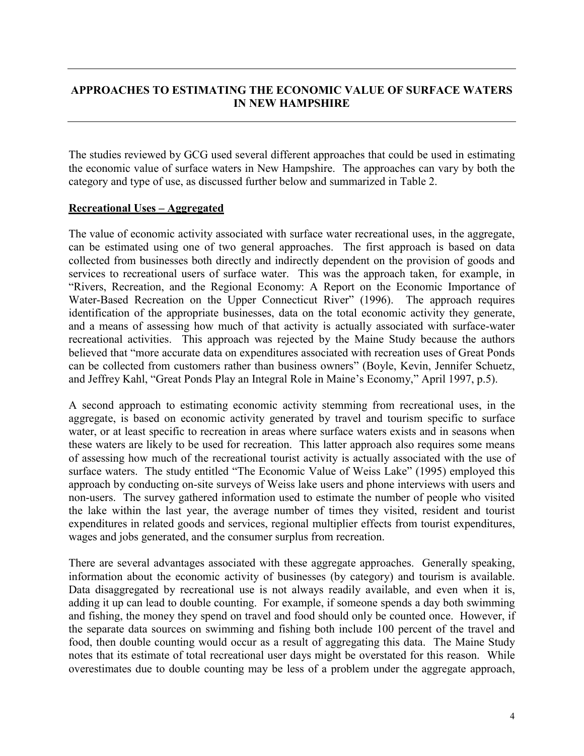# <span id="page-10-0"></span>**APPROACHES TO ESTIMATING THE ECONOMIC VALUE OF SURFACE WATERS IN NEW HAMPSHIRE**

The studies reviewed by GCG used several different approaches that could be used in estimating the economic value of surface waters in New Hampshire. The approaches can vary by both the category and type of use, as discussed further below and summarized in Table 2.

## **Recreational Uses – Aggregated**

The value of economic activity associated with surface water recreational uses, in the aggregate, can be estimated using one of two general approaches. The first approach is based on data collected from businesses both directly and indirectly dependent on the provision of goods and services to recreational users of surface water. This was the approach taken, for example, in "Rivers, Recreation, and the Regional Economy: A Report on the Economic Importance of Water-Based Recreation on the Upper Connecticut River" (1996). The approach requires identification of the appropriate businesses, data on the total economic activity they generate, and a means of assessing how much of that activity is actually associated with surface-water recreational activities. This approach was rejected by the Maine Study because the authors believed that "more accurate data on expenditures associated with recreation uses of Great Ponds can be collected from customers rather than business owners" (Boyle, Kevin, Jennifer Schuetz, and Jeffrey Kahl, "Great Ponds Play an Integral Role in Maine's Economy," April 1997, p.5).

A second approach to estimating economic activity stemming from recreational uses, in the aggregate, is based on economic activity generated by travel and tourism specific to surface water, or at least specific to recreation in areas where surface waters exists and in seasons when these waters are likely to be used for recreation. This latter approach also requires some means of assessing how much of the recreational tourist activity is actually associated with the use of surface waters. The study entitled "The Economic Value of Weiss Lake" (1995) employed this approach by conducting on-site surveys of Weiss lake users and phone interviews with users and non-users. The survey gathered information used to estimate the number of people who visited the lake within the last year, the average number of times they visited, resident and tourist expenditures in related goods and services, regional multiplier effects from tourist expenditures, wages and jobs generated, and the consumer surplus from recreation.

There are several advantages associated with these aggregate approaches. Generally speaking, information about the economic activity of businesses (by category) and tourism is available. Data disaggregated by recreational use is not always readily available, and even when it is, adding it up can lead to double counting. For example, if someone spends a day both swimming and fishing, the money they spend on travel and food should only be counted once. However, if the separate data sources on swimming and fishing both include 100 percent of the travel and food, then double counting would occur as a result of aggregating this data. The Maine Study notes that its estimate of total recreational user days might be overstated for this reason. While overestimates due to double counting may be less of a problem under the aggregate approach,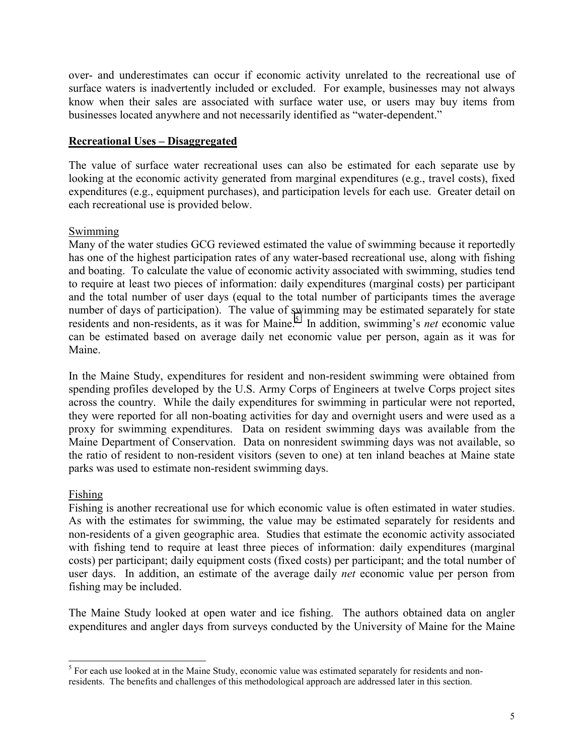<span id="page-11-0"></span>over- and underestimates can occur if economic activity unrelated to the recreational use of surface waters is inadvertently included or excluded. For example, businesses may not always know when their sales are associated with surface water use, or users may buy items from businesses located anywhere and not necessarily identified as "water-dependent."

# **Recreational Uses – Disaggregated**

The value of surface water recreational uses can also be estimated for each separate use by looking at the economic activity generated from marginal expenditures (e.g., travel costs), fixed expenditures (e.g., equipment purchases), and participation levels for each use. Greater detail on each recreational use is provided below.

## Swimming

Many of the water studies GCG reviewed estimated the value of swimming because it reportedly has one of the highest participation rates of any water-based recreational use, along with fishing and boating. To calculate the value of economic activity associated with swimming, studies tend to require at least two pieces of information: daily expenditures (marginal costs) per participant and the total number of user days (equal to the total number of participants times the average number of days of participation). The value of swimming may be estimated separately for state residents and non-residents, as it was for Maine.<sup>5</sup> In addition, swimming's *net* economic value can be estimated based on average daily net economic value per person, again as it was for Maine.

In the Maine Study, expenditures for resident and non-resident swimming were obtained from spending profiles developed by the U.S. Army Corps of Engineers at twelve Corps project sites across the country. While the daily expenditures for swimming in particular were not reported, they were reported for all non-boating activities for day and overnight users and were used as a proxy for swimming expenditures. Data on resident swimming days was available from the Maine Department of Conservation. Data on nonresident swimming days was not available, so the ratio of resident to non-resident visitors (seven to one) at ten inland beaches at Maine state parks was used to estimate non-resident swimming days.

## Fishing

Fishing is another recreational use for which economic value is often estimated in water studies. As with the estimates for swimming, the value may be estimated separately for residents and non-residents of a given geographic area. Studies that estimate the economic activity associated with fishing tend to require at least three pieces of information: daily expenditures (marginal costs) per participant; daily equipment costs (fixed costs) per participant; and the total number of user days. In addition, an estimate of the average daily *net* economic value per person from fishing may be included.

The Maine Study looked at open water and ice fishing. The authors obtained data on angler expenditures and angler days from surveys conducted by the University of Maine for the Maine

<sup>&</sup>lt;sup>5</sup> For each use looked at in the Maine Study, economic value was estimated separately for residents and nonresidents. The benefits and challenges of this methodological approach are addressed later in this section.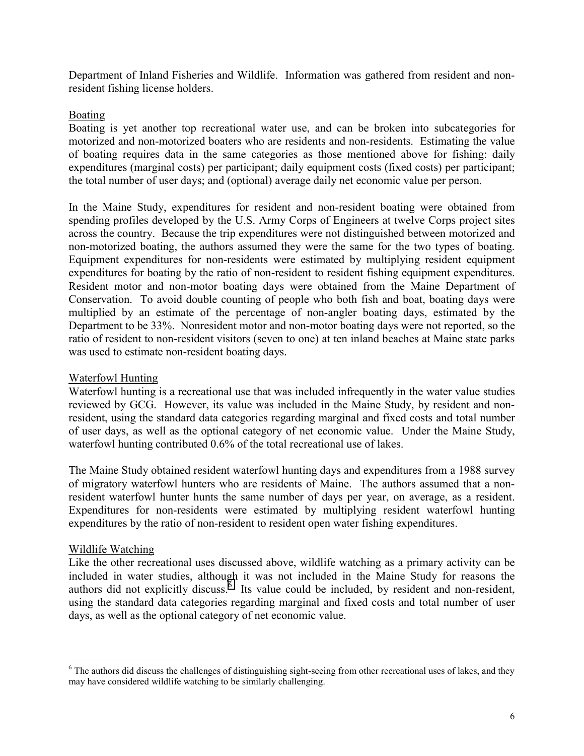<span id="page-12-0"></span>Department of Inland Fisheries and Wildlife. Information was gathered from resident and nonresident fishing license holders.

## Boating

Boating is yet another top recreational water use, and can be broken into subcategories for motorized and non-motorized boaters who are residents and non-residents. Estimating the value of boating requires data in the same categories as those mentioned above for fishing: daily expenditures (marginal costs) per participant; daily equipment costs (fixed costs) per participant; the total number of user days; and (optional) average daily net economic value per person.

In the Maine Study, expenditures for resident and non-resident boating were obtained from spending profiles developed by the U.S. Army Corps of Engineers at twelve Corps project sites across the country. Because the trip expenditures were not distinguished between motorized and non-motorized boating, the authors assumed they were the same for the two types of boating. Equipment expenditures for non-residents were estimated by multiplying resident equipment expenditures for boating by the ratio of non-resident to resident fishing equipment expenditures. Resident motor and non-motor boating days were obtained from the Maine Department of Conservation. To avoid double counting of people who both fish and boat, boating days were multiplied by an estimate of the percentage of non-angler boating days, estimated by the Department to be 33%. Nonresident motor and non-motor boating days were not reported, so the ratio of resident to non-resident visitors (seven to one) at ten inland beaches at Maine state parks was used to estimate non-resident boating days.

#### Waterfowl Hunting

Waterfowl hunting is a recreational use that was included infrequently in the water value studies reviewed by GCG. However, its value was included in the Maine Study, by resident and nonresident, using the standard data categories regarding marginal and fixed costs and total number of user days, as well as the optional category of net economic value. Under the Maine Study, waterfowl hunting contributed 0.6% of the total recreational use of lakes.

The Maine Study obtained resident waterfowl hunting days and expenditures from a 1988 survey of migratory waterfowl hunters who are residents of Maine. The authors assumed that a nonresident waterfowl hunter hunts the same number of days per year, on average, as a resident. Expenditures for non-residents were estimated by multiplying resident waterfowl hunting expenditures by the ratio of non-resident to resident open water fishing expenditures.

#### Wildlife Watching

 $\overline{\phantom{a}}$ 

Like the other recreational uses discussed above, wildlife watching as a primary activity can be included in water studies, although it was not included in the Maine Study for reasons the authors did not explicitly discuss. Its value could be included, by resident and non-resident, using the standard data categories regarding marginal and fixed costs and total number of user days, as well as the optional category of net economic value.

 $6$  The authors did discuss the challenges of distinguishing sight-seeing from other recreational uses of lakes, and they may have considered wildlife watching to be similarly challenging.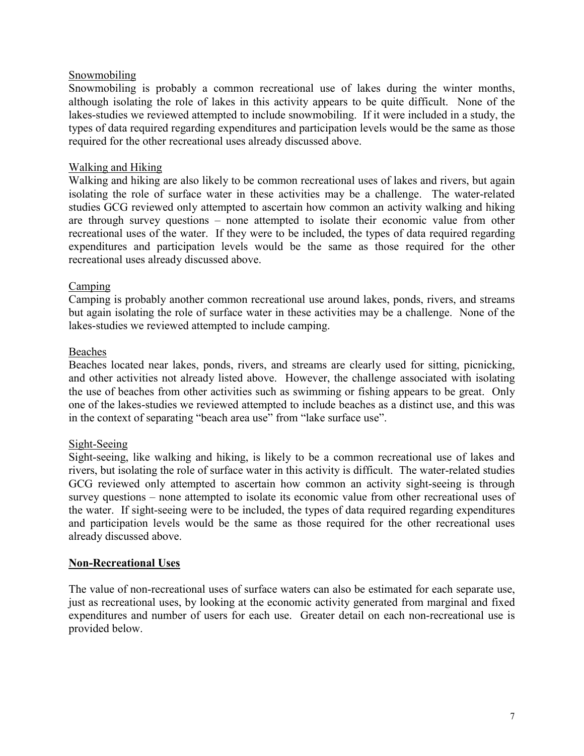## <span id="page-13-0"></span>Snowmobiling

Snowmobiling is probably a common recreational use of lakes during the winter months, although isolating the role of lakes in this activity appears to be quite difficult. None of the lakes-studies we reviewed attempted to include snowmobiling. If it were included in a study, the types of data required regarding expenditures and participation levels would be the same as those required for the other recreational uses already discussed above.

## Walking and Hiking

Walking and hiking are also likely to be common recreational uses of lakes and rivers, but again isolating the role of surface water in these activities may be a challenge. The water-related studies GCG reviewed only attempted to ascertain how common an activity walking and hiking are through survey questions – none attempted to isolate their economic value from other recreational uses of the water. If they were to be included, the types of data required regarding expenditures and participation levels would be the same as those required for the other recreational uses already discussed above.

## Camping

Camping is probably another common recreational use around lakes, ponds, rivers, and streams but again isolating the role of surface water in these activities may be a challenge. None of the lakes-studies we reviewed attempted to include camping.

#### Beaches

Beaches located near lakes, ponds, rivers, and streams are clearly used for sitting, picnicking, and other activities not already listed above. However, the challenge associated with isolating the use of beaches from other activities such as swimming or fishing appears to be great. Only one of the lakes-studies we reviewed attempted to include beaches as a distinct use, and this was in the context of separating "beach area use" from "lake surface use".

#### Sight-Seeing

Sight-seeing, like walking and hiking, is likely to be a common recreational use of lakes and rivers, but isolating the role of surface water in this activity is difficult. The water-related studies GCG reviewed only attempted to ascertain how common an activity sight-seeing is through survey questions – none attempted to isolate its economic value from other recreational uses of the water. If sight-seeing were to be included, the types of data required regarding expenditures and participation levels would be the same as those required for the other recreational uses already discussed above.

#### **Non-Recreational Uses**

The value of non-recreational uses of surface waters can also be estimated for each separate use, just as recreational uses, by looking at the economic activity generated from marginal and fixed expenditures and number of users for each use. Greater detail on each non-recreational use is provided below.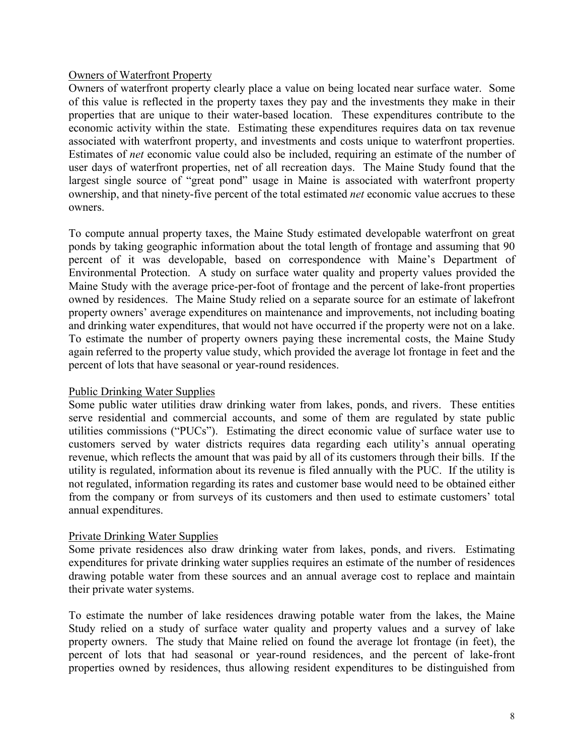#### <span id="page-14-0"></span>Owners of Waterfront Property

Owners of waterfront property clearly place a value on being located near surface water. Some of this value is reflected in the property taxes they pay and the investments they make in their properties that are unique to their water-based location. These expenditures contribute to the economic activity within the state. Estimating these expenditures requires data on tax revenue associated with waterfront property, and investments and costs unique to waterfront properties. Estimates of *net* economic value could also be included, requiring an estimate of the number of user days of waterfront properties, net of all recreation days. The Maine Study found that the largest single source of "great pond" usage in Maine is associated with waterfront property ownership, and that ninety-five percent of the total estimated *net* economic value accrues to these owners.

To compute annual property taxes, the Maine Study estimated developable waterfront on great ponds by taking geographic information about the total length of frontage and assuming that 90 percent of it was developable, based on correspondence with Maine's Department of Environmental Protection. A study on surface water quality and property values provided the Maine Study with the average price-per-foot of frontage and the percent of lake-front properties owned by residences. The Maine Study relied on a separate source for an estimate of lakefront property owners' average expenditures on maintenance and improvements, not including boating and drinking water expenditures, that would not have occurred if the property were not on a lake. To estimate the number of property owners paying these incremental costs, the Maine Study again referred to the property value study, which provided the average lot frontage in feet and the percent of lots that have seasonal or year-round residences.

## Public Drinking Water Supplies

Some public water utilities draw drinking water from lakes, ponds, and rivers. These entities serve residential and commercial accounts, and some of them are regulated by state public utilities commissions ("PUCs"). Estimating the direct economic value of surface water use to customers served by water districts requires data regarding each utility's annual operating revenue, which reflects the amount that was paid by all of its customers through their bills. If the utility is regulated, information about its revenue is filed annually with the PUC. If the utility is not regulated, information regarding its rates and customer base would need to be obtained either from the company or from surveys of its customers and then used to estimate customers' total annual expenditures.

## Private Drinking Water Supplies

Some private residences also draw drinking water from lakes, ponds, and rivers. Estimating expenditures for private drinking water supplies requires an estimate of the number of residences drawing potable water from these sources and an annual average cost to replace and maintain their private water systems.

To estimate the number of lake residences drawing potable water from the lakes, the Maine Study relied on a study of surface water quality and property values and a survey of lake property owners. The study that Maine relied on found the average lot frontage (in feet), the percent of lots that had seasonal or year-round residences, and the percent of lake-front properties owned by residences, thus allowing resident expenditures to be distinguished from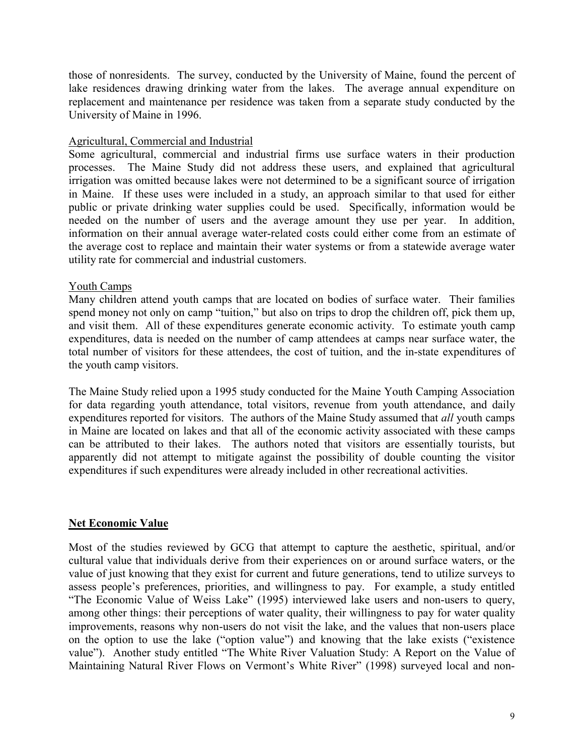<span id="page-15-0"></span>those of nonresidents. The survey, conducted by the University of Maine, found the percent of lake residences drawing drinking water from the lakes. The average annual expenditure on replacement and maintenance per residence was taken from a separate study conducted by the University of Maine in 1996.

## Agricultural, Commercial and Industrial

Some agricultural, commercial and industrial firms use surface waters in their production processes. The Maine Study did not address these users, and explained that agricultural irrigation was omitted because lakes were not determined to be a significant source of irrigation in Maine. If these uses were included in a study, an approach similar to that used for either public or private drinking water supplies could be used. Specifically, information would be needed on the number of users and the average amount they use per year. In addition, information on their annual average water-related costs could either come from an estimate of the average cost to replace and maintain their water systems or from a statewide average water utility rate for commercial and industrial customers.

## Youth Camps

Many children attend youth camps that are located on bodies of surface water. Their families spend money not only on camp "tuition," but also on trips to drop the children off, pick them up, and visit them. All of these expenditures generate economic activity. To estimate youth camp expenditures, data is needed on the number of camp attendees at camps near surface water, the total number of visitors for these attendees, the cost of tuition, and the in-state expenditures of the youth camp visitors.

The Maine Study relied upon a 1995 study conducted for the Maine Youth Camping Association for data regarding youth attendance, total visitors, revenue from youth attendance, and daily expenditures reported for visitors. The authors of the Maine Study assumed that *all* youth camps in Maine are located on lakes and that all of the economic activity associated with these camps can be attributed to their lakes. The authors noted that visitors are essentially tourists, but apparently did not attempt to mitigate against the possibility of double counting the visitor expenditures if such expenditures were already included in other recreational activities.

## **Net Economic Value**

Most of the studies reviewed by GCG that attempt to capture the aesthetic, spiritual, and/or cultural value that individuals derive from their experiences on or around surface waters, or the value of just knowing that they exist for current and future generations, tend to utilize surveys to assess people's preferences, priorities, and willingness to pay. For example, a study entitled "The Economic Value of Weiss Lake" (1995) interviewed lake users and non-users to query, among other things: their perceptions of water quality, their willingness to pay for water quality improvements, reasons why non-users do not visit the lake, and the values that non-users place on the option to use the lake ("option value") and knowing that the lake exists ("existence value"). Another study entitled "The White River Valuation Study: A Report on the Value of Maintaining Natural River Flows on Vermont's White River" (1998) surveyed local and non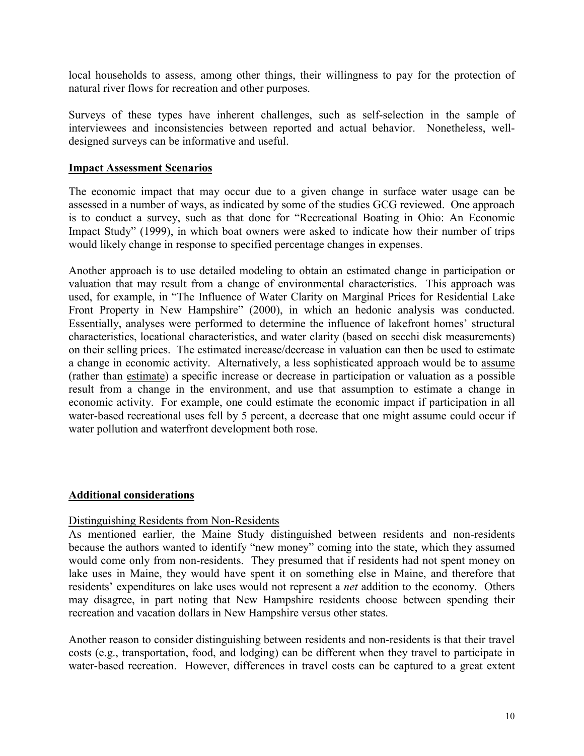<span id="page-16-0"></span>local households to assess, among other things, their willingness to pay for the protection of natural river flows for recreation and other purposes.

Surveys of these types have inherent challenges, such as self-selection in the sample of interviewees and inconsistencies between reported and actual behavior. Nonetheless, welldesigned surveys can be informative and useful.

#### **Impact Assessment Scenarios**

The economic impact that may occur due to a given change in surface water usage can be assessed in a number of ways, as indicated by some of the studies GCG reviewed. One approach is to conduct a survey, such as that done for "Recreational Boating in Ohio: An Economic Impact Study" (1999), in which boat owners were asked to indicate how their number of trips would likely change in response to specified percentage changes in expenses.

Another approach is to use detailed modeling to obtain an estimated change in participation or valuation that may result from a change of environmental characteristics. This approach was used, for example, in "The Influence of Water Clarity on Marginal Prices for Residential Lake Front Property in New Hampshire" (2000), in which an hedonic analysis was conducted. Essentially, analyses were performed to determine the influence of lakefront homes' structural characteristics, locational characteristics, and water clarity (based on secchi disk measurements) on their selling prices. The estimated increase/decrease in valuation can then be used to estimate a change in economic activity. Alternatively, a less sophisticated approach would be to assume (rather than estimate) a specific increase or decrease in participation or valuation as a possible result from a change in the environment, and use that assumption to estimate a change in economic activity. For example, one could estimate the economic impact if participation in all water-based recreational uses fell by 5 percent, a decrease that one might assume could occur if water pollution and waterfront development both rose.

#### **Additional considerations**

## Distinguishing Residents from Non-Residents

As mentioned earlier, the Maine Study distinguished between residents and non-residents because the authors wanted to identify "new money" coming into the state, which they assumed would come only from non-residents. They presumed that if residents had not spent money on lake uses in Maine, they would have spent it on something else in Maine, and therefore that residents' expenditures on lake uses would not represent a *net* addition to the economy. Others may disagree, in part noting that New Hampshire residents choose between spending their recreation and vacation dollars in New Hampshire versus other states.

Another reason to consider distinguishing between residents and non-residents is that their travel costs (e.g., transportation, food, and lodging) can be different when they travel to participate in water-based recreation. However, differences in travel costs can be captured to a great extent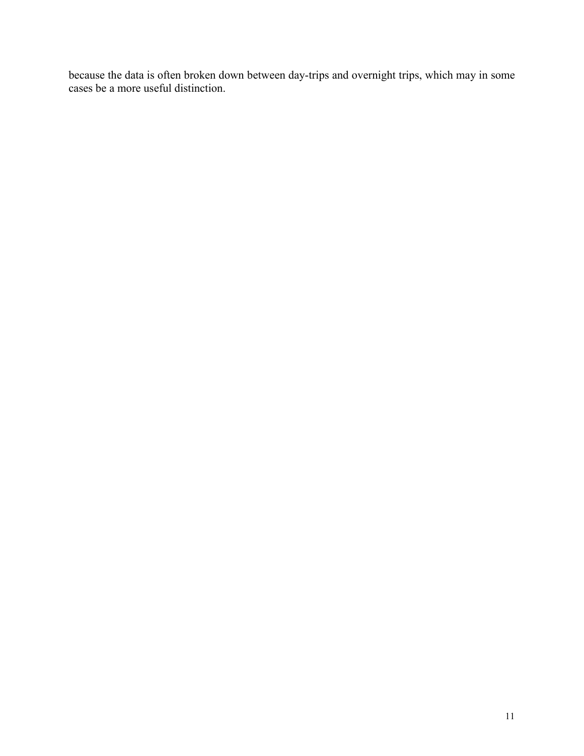because the data is often broken down between day-trips and overnight trips, which may in some cases be a more useful distinction.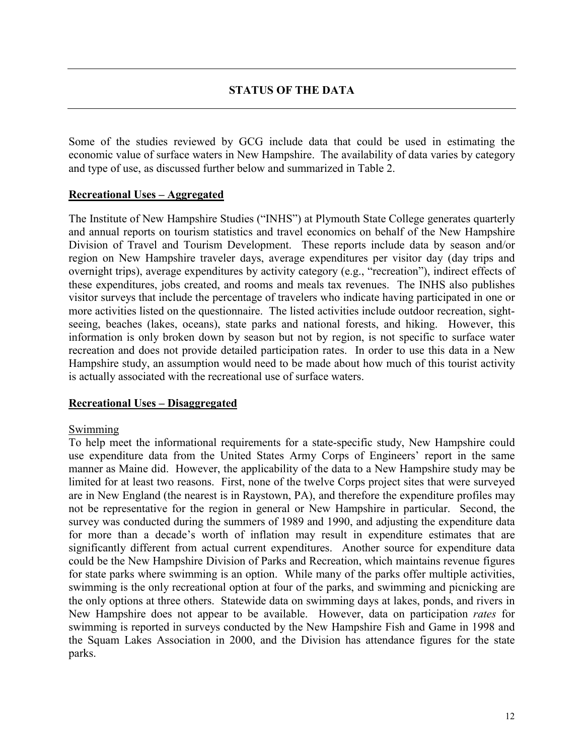<span id="page-18-0"></span>Some of the studies reviewed by GCG include data that could be used in estimating the economic value of surface waters in New Hampshire. The availability of data varies by category and type of use, as discussed further below and summarized in Table 2.

#### **Recreational Uses – Aggregated**

The Institute of New Hampshire Studies ("INHS") at Plymouth State College generates quarterly and annual reports on tourism statistics and travel economics on behalf of the New Hampshire Division of Travel and Tourism Development. These reports include data by season and/or region on New Hampshire traveler days, average expenditures per visitor day (day trips and overnight trips), average expenditures by activity category (e.g., "recreation"), indirect effects of these expenditures, jobs created, and rooms and meals tax revenues. The INHS also publishes visitor surveys that include the percentage of travelers who indicate having participated in one or more activities listed on the questionnaire. The listed activities include outdoor recreation, sightseeing, beaches (lakes, oceans), state parks and national forests, and hiking. However, this information is only broken down by season but not by region, is not specific to surface water recreation and does not provide detailed participation rates. In order to use this data in a New Hampshire study, an assumption would need to be made about how much of this tourist activity is actually associated with the recreational use of surface waters.

#### **Recreational Uses – Disaggregated**

#### **Swimming**

To help meet the informational requirements for a state-specific study, New Hampshire could use expenditure data from the United States Army Corps of Engineers' report in the same manner as Maine did. However, the applicability of the data to a New Hampshire study may be limited for at least two reasons. First, none of the twelve Corps project sites that were surveyed are in New England (the nearest is in Raystown, PA), and therefore the expenditure profiles may not be representative for the region in general or New Hampshire in particular. Second, the survey was conducted during the summers of 1989 and 1990, and adjusting the expenditure data for more than a decade's worth of inflation may result in expenditure estimates that are significantly different from actual current expenditures. Another source for expenditure data could be the New Hampshire Division of Parks and Recreation, which maintains revenue figures for state parks where swimming is an option. While many of the parks offer multiple activities, swimming is the only recreational option at four of the parks, and swimming and picnicking are the only options at three others. Statewide data on swimming days at lakes, ponds, and rivers in New Hampshire does not appear to be available. However, data on participation *rates* for swimming is reported in surveys conducted by the New Hampshire Fish and Game in 1998 and the Squam Lakes Association in 2000, and the Division has attendance figures for the state parks.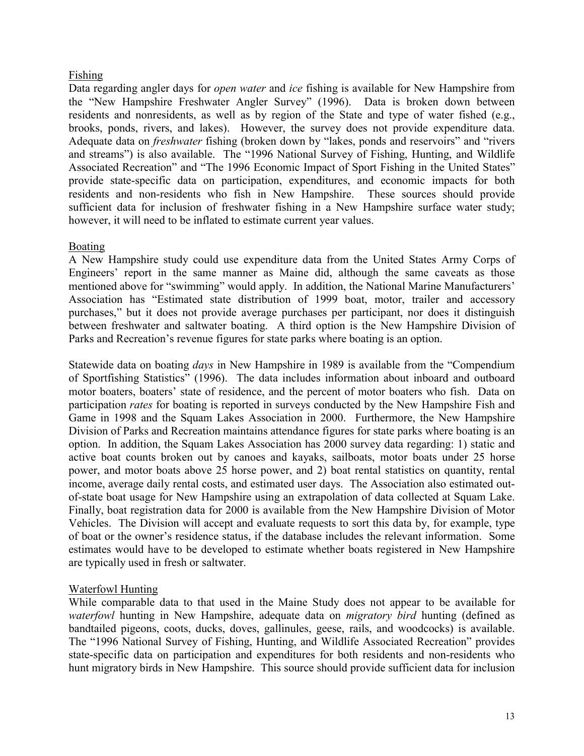## <span id="page-19-0"></span>Fishing

Data regarding angler days for *open water* and *ice* fishing is available for New Hampshire from the "New Hampshire Freshwater Angler Survey" (1996). Data is broken down between residents and nonresidents, as well as by region of the State and type of water fished (e.g., brooks, ponds, rivers, and lakes). However, the survey does not provide expenditure data. Adequate data on *freshwater* fishing (broken down by "lakes, ponds and reservoirs" and "rivers and streams") is also available. The "1996 National Survey of Fishing, Hunting, and Wildlife Associated Recreation" and "The 1996 Economic Impact of Sport Fishing in the United States" provide state-specific data on participation, expenditures, and economic impacts for both residents and non-residents who fish in New Hampshire. These sources should provide sufficient data for inclusion of freshwater fishing in a New Hampshire surface water study; however, it will need to be inflated to estimate current year values.

## Boating

A New Hampshire study could use expenditure data from the United States Army Corps of Engineers' report in the same manner as Maine did, although the same caveats as those mentioned above for "swimming" would apply. In addition, the National Marine Manufacturers' Association has "Estimated state distribution of 1999 boat, motor, trailer and accessory purchases," but it does not provide average purchases per participant, nor does it distinguish between freshwater and saltwater boating. A third option is the New Hampshire Division of Parks and Recreation's revenue figures for state parks where boating is an option.

Statewide data on boating *days* in New Hampshire in 1989 is available from the "Compendium of Sportfishing Statistics" (1996). The data includes information about inboard and outboard motor boaters, boaters' state of residence, and the percent of motor boaters who fish. Data on participation *rates* for boating is reported in surveys conducted by the New Hampshire Fish and Game in 1998 and the Squam Lakes Association in 2000. Furthermore, the New Hampshire Division of Parks and Recreation maintains attendance figures for state parks where boating is an option. In addition, the Squam Lakes Association has 2000 survey data regarding: 1) static and active boat counts broken out by canoes and kayaks, sailboats, motor boats under 25 horse power, and motor boats above 25 horse power, and 2) boat rental statistics on quantity, rental income, average daily rental costs, and estimated user days. The Association also estimated outof-state boat usage for New Hampshire using an extrapolation of data collected at Squam Lake. Finally, boat registration data for 2000 is available from the New Hampshire Division of Motor Vehicles. The Division will accept and evaluate requests to sort this data by, for example, type of boat or the owner's residence status, if the database includes the relevant information. Some estimates would have to be developed to estimate whether boats registered in New Hampshire are typically used in fresh or saltwater.

## Waterfowl Hunting

While comparable data to that used in the Maine Study does not appear to be available for *waterfowl* hunting in New Hampshire, adequate data on *migratory bird* hunting (defined as bandtailed pigeons, coots, ducks, doves, gallinules, geese, rails, and woodcocks) is available. The "1996 National Survey of Fishing, Hunting, and Wildlife Associated Recreation" provides state-specific data on participation and expenditures for both residents and non-residents who hunt migratory birds in New Hampshire. This source should provide sufficient data for inclusion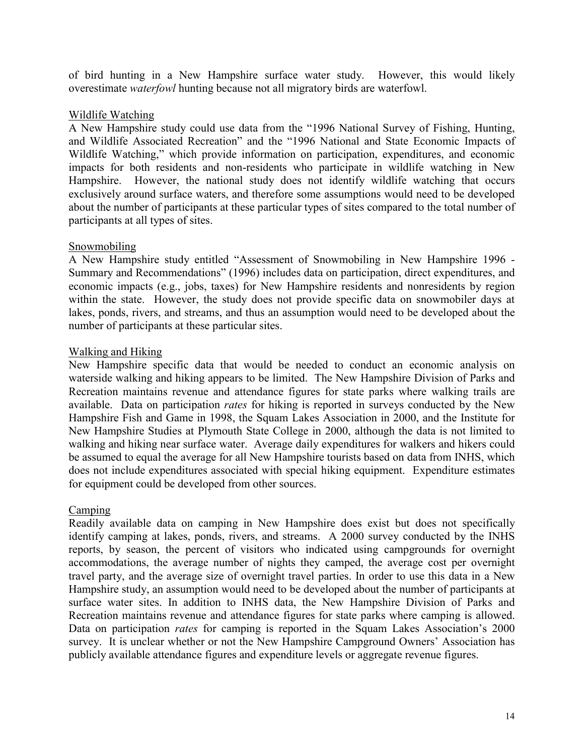<span id="page-20-0"></span>of bird hunting in a New Hampshire surface water study. However, this would likely overestimate *waterfowl* hunting because not all migratory birds are waterfowl.

## Wildlife Watching

A New Hampshire study could use data from the "1996 National Survey of Fishing, Hunting, and Wildlife Associated Recreation" and the "1996 National and State Economic Impacts of Wildlife Watching," which provide information on participation, expenditures, and economic impacts for both residents and non-residents who participate in wildlife watching in New Hampshire. However, the national study does not identify wildlife watching that occurs exclusively around surface waters, and therefore some assumptions would need to be developed about the number of participants at these particular types of sites compared to the total number of participants at all types of sites.

## **Snowmobiling**

A New Hampshire study entitled "Assessment of Snowmobiling in New Hampshire 1996 - Summary and Recommendations" (1996) includes data on participation, direct expenditures, and economic impacts (e.g., jobs, taxes) for New Hampshire residents and nonresidents by region within the state. However, the study does not provide specific data on snowmobiler days at lakes, ponds, rivers, and streams, and thus an assumption would need to be developed about the number of participants at these particular sites.

## Walking and Hiking

New Hampshire specific data that would be needed to conduct an economic analysis on waterside walking and hiking appears to be limited. The New Hampshire Division of Parks and Recreation maintains revenue and attendance figures for state parks where walking trails are available. Data on participation *rates* for hiking is reported in surveys conducted by the New Hampshire Fish and Game in 1998, the Squam Lakes Association in 2000, and the Institute for New Hampshire Studies at Plymouth State College in 2000, although the data is not limited to walking and hiking near surface water. Average daily expenditures for walkers and hikers could be assumed to equal the average for all New Hampshire tourists based on data from INHS, which does not include expenditures associated with special hiking equipment. Expenditure estimates for equipment could be developed from other sources.

#### Camping

Readily available data on camping in New Hampshire does exist but does not specifically identify camping at lakes, ponds, rivers, and streams. A 2000 survey conducted by the INHS reports, by season, the percent of visitors who indicated using campgrounds for overnight accommodations, the average number of nights they camped, the average cost per overnight travel party, and the average size of overnight travel parties. In order to use this data in a New Hampshire study, an assumption would need to be developed about the number of participants at surface water sites. In addition to INHS data, the New Hampshire Division of Parks and Recreation maintains revenue and attendance figures for state parks where camping is allowed. Data on participation *rates* for camping is reported in the Squam Lakes Association's 2000 survey. It is unclear whether or not the New Hampshire Campground Owners' Association has publicly available attendance figures and expenditure levels or aggregate revenue figures.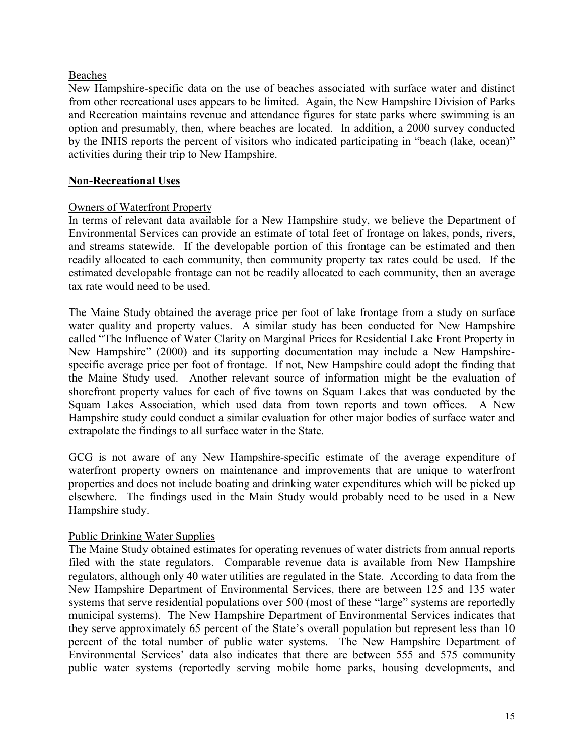## <span id="page-21-0"></span>Beaches

New Hampshire-specific data on the use of beaches associated with surface water and distinct from other recreational uses appears to be limited. Again, the New Hampshire Division of Parks and Recreation maintains revenue and attendance figures for state parks where swimming is an option and presumably, then, where beaches are located. In addition, a 2000 survey conducted by the INHS reports the percent of visitors who indicated participating in "beach (lake, ocean)" activities during their trip to New Hampshire.

## **Non-Recreational Uses**

## Owners of Waterfront Property

In terms of relevant data available for a New Hampshire study, we believe the Department of Environmental Services can provide an estimate of total feet of frontage on lakes, ponds, rivers, and streams statewide. If the developable portion of this frontage can be estimated and then readily allocated to each community, then community property tax rates could be used. If the estimated developable frontage can not be readily allocated to each community, then an average tax rate would need to be used.

The Maine Study obtained the average price per foot of lake frontage from a study on surface water quality and property values. A similar study has been conducted for New Hampshire called "The Influence of Water Clarity on Marginal Prices for Residential Lake Front Property in New Hampshire" (2000) and its supporting documentation may include a New Hampshirespecific average price per foot of frontage. If not, New Hampshire could adopt the finding that the Maine Study used. Another relevant source of information might be the evaluation of shorefront property values for each of five towns on Squam Lakes that was conducted by the Squam Lakes Association, which used data from town reports and town offices. A New Hampshire study could conduct a similar evaluation for other major bodies of surface water and extrapolate the findings to all surface water in the State.

GCG is not aware of any New Hampshire-specific estimate of the average expenditure of waterfront property owners on maintenance and improvements that are unique to waterfront properties and does not include boating and drinking water expenditures which will be picked up elsewhere. The findings used in the Main Study would probably need to be used in a New Hampshire study.

#### Public Drinking Water Supplies

The Maine Study obtained estimates for operating revenues of water districts from annual reports filed with the state regulators. Comparable revenue data is available from New Hampshire regulators, although only 40 water utilities are regulated in the State. According to data from the New Hampshire Department of Environmental Services, there are between 125 and 135 water systems that serve residential populations over 500 (most of these "large" systems are reportedly municipal systems). The New Hampshire Department of Environmental Services indicates that they serve approximately 65 percent of the State's overall population but represent less than 10 percent of the total number of public water systems. The New Hampshire Department of Environmental Services' data also indicates that there are between 555 and 575 community public water systems (reportedly serving mobile home parks, housing developments, and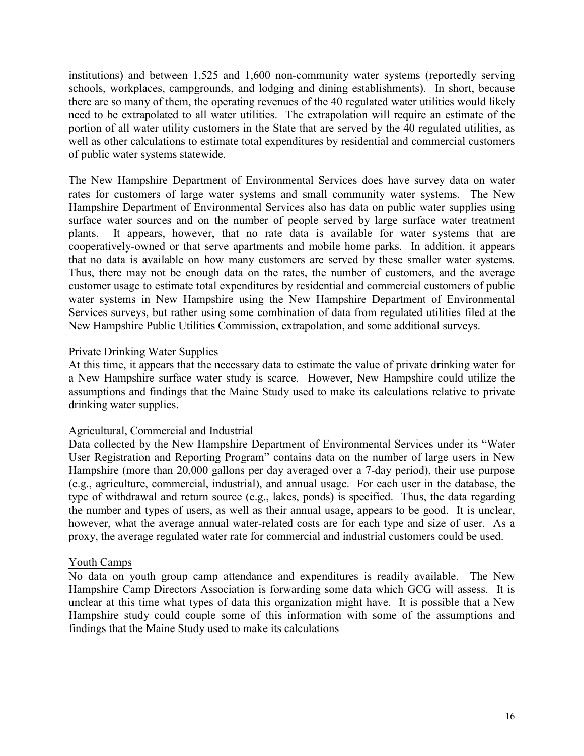<span id="page-22-0"></span>institutions) and between 1,525 and 1,600 non-community water systems (reportedly serving schools, workplaces, campgrounds, and lodging and dining establishments). In short, because there are so many of them, the operating revenues of the 40 regulated water utilities would likely need to be extrapolated to all water utilities. The extrapolation will require an estimate of the portion of all water utility customers in the State that are served by the 40 regulated utilities, as well as other calculations to estimate total expenditures by residential and commercial customers of public water systems statewide.

The New Hampshire Department of Environmental Services does have survey data on water rates for customers of large water systems and small community water systems. The New Hampshire Department of Environmental Services also has data on public water supplies using surface water sources and on the number of people served by large surface water treatment plants. It appears, however, that no rate data is available for water systems that are cooperatively-owned or that serve apartments and mobile home parks. In addition, it appears that no data is available on how many customers are served by these smaller water systems. Thus, there may not be enough data on the rates, the number of customers, and the average customer usage to estimate total expenditures by residential and commercial customers of public water systems in New Hampshire using the New Hampshire Department of Environmental Services surveys, but rather using some combination of data from regulated utilities filed at the New Hampshire Public Utilities Commission, extrapolation, and some additional surveys.

## Private Drinking Water Supplies

At this time, it appears that the necessary data to estimate the value of private drinking water for a New Hampshire surface water study is scarce. However, New Hampshire could utilize the assumptions and findings that the Maine Study used to make its calculations relative to private drinking water supplies.

#### Agricultural, Commercial and Industrial

Data collected by the New Hampshire Department of Environmental Services under its "Water User Registration and Reporting Program" contains data on the number of large users in New Hampshire (more than 20,000 gallons per day averaged over a 7-day period), their use purpose (e.g., agriculture, commercial, industrial), and annual usage. For each user in the database, the type of withdrawal and return source (e.g., lakes, ponds) is specified. Thus, the data regarding the number and types of users, as well as their annual usage, appears to be good. It is unclear, however, what the average annual water-related costs are for each type and size of user. As a proxy, the average regulated water rate for commercial and industrial customers could be used.

#### Youth Camps

No data on youth group camp attendance and expenditures is readily available. The New Hampshire Camp Directors Association is forwarding some data which GCG will assess. It is unclear at this time what types of data this organization might have. It is possible that a New Hampshire study could couple some of this information with some of the assumptions and findings that the Maine Study used to make its calculations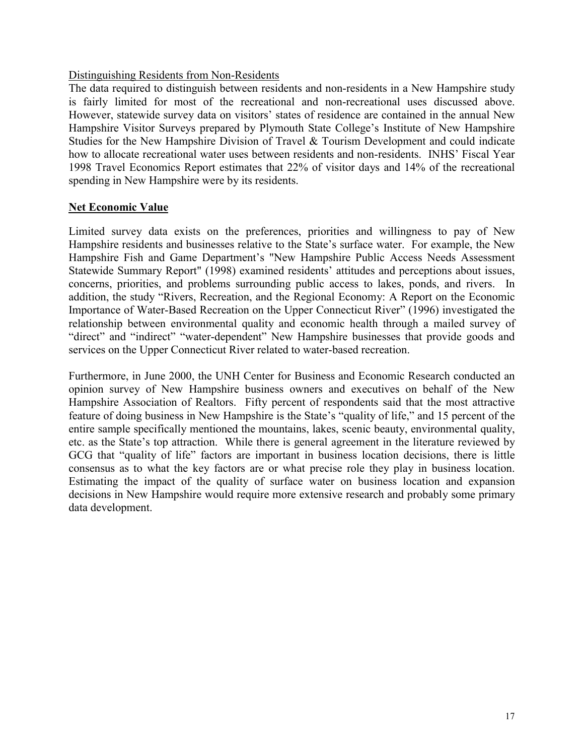## <span id="page-23-0"></span>Distinguishing Residents from Non-Residents

The data required to distinguish between residents and non-residents in a New Hampshire study is fairly limited for most of the recreational and non-recreational uses discussed above. However, statewide survey data on visitors' states of residence are contained in the annual New Hampshire Visitor Surveys prepared by Plymouth State College's Institute of New Hampshire Studies for the New Hampshire Division of Travel & Tourism Development and could indicate how to allocate recreational water uses between residents and non-residents. INHS' Fiscal Year 1998 Travel Economics Report estimates that 22% of visitor days and 14% of the recreational spending in New Hampshire were by its residents.

## **Net Economic Value**

Limited survey data exists on the preferences, priorities and willingness to pay of New Hampshire residents and businesses relative to the State's surface water. For example, the New Hampshire Fish and Game Department's "New Hampshire Public Access Needs Assessment Statewide Summary Report" (1998) examined residents' attitudes and perceptions about issues, concerns, priorities, and problems surrounding public access to lakes, ponds, and rivers. In addition, the study "Rivers, Recreation, and the Regional Economy: A Report on the Economic Importance of Water-Based Recreation on the Upper Connecticut River" (1996) investigated the relationship between environmental quality and economic health through a mailed survey of "direct" and "indirect" "water-dependent" New Hampshire businesses that provide goods and services on the Upper Connecticut River related to water-based recreation.

Furthermore, in June 2000, the UNH Center for Business and Economic Research conducted an opinion survey of New Hampshire business owners and executives on behalf of the New Hampshire Association of Realtors. Fifty percent of respondents said that the most attractive feature of doing business in New Hampshire is the State's "quality of life," and 15 percent of the entire sample specifically mentioned the mountains, lakes, scenic beauty, environmental quality, etc. as the State's top attraction. While there is general agreement in the literature reviewed by GCG that "quality of life" factors are important in business location decisions, there is little consensus as to what the key factors are or what precise role they play in business location. Estimating the impact of the quality of surface water on business location and expansion decisions in New Hampshire would require more extensive research and probably some primary data development.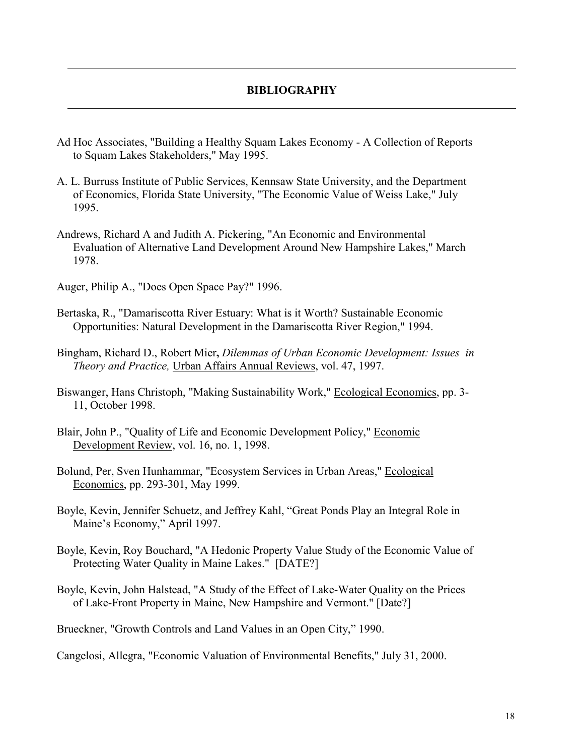#### **BIBLIOGRAPHY**

- <span id="page-24-0"></span>Ad Hoc Associates, "Building a Healthy Squam Lakes Economy - A Collection of Reports to Squam Lakes Stakeholders," May 1995.
- A. L. Burruss Institute of Public Services, Kennsaw State University, and the Department of Economics, Florida State University, "The Economic Value of Weiss Lake," July 1995.
- Andrews, Richard A and Judith A. Pickering, "An Economic and Environmental Evaluation of Alternative Land Development Around New Hampshire Lakes," March 1978.

Auger, Philip A., "Does Open Space Pay?" 1996.

- Bertaska, R., "Damariscotta River Estuary: What is it Worth? Sustainable Economic Opportunities: Natural Development in the Damariscotta River Region," 1994.
- Bingham, Richard D., Robert Mier**,** *Dilemmas of Urban Economic Development: Issues in Theory and Practice,* Urban Affairs Annual Reviews, vol. 47, 1997.
- Biswanger, Hans Christoph, "Making Sustainability Work," Ecological Economics, pp. 3- 11, October 1998.
- Blair, John P., "Quality of Life and Economic Development Policy," Economic Development Review, vol. 16, no. 1, 1998.
- Bolund, Per, Sven Hunhammar, "Ecosystem Services in Urban Areas," Ecological Economics, pp. 293-301, May 1999.
- Boyle, Kevin, Jennifer Schuetz, and Jeffrey Kahl, "Great Ponds Play an Integral Role in Maine's Economy," April 1997.
- Boyle, Kevin, Roy Bouchard, "A Hedonic Property Value Study of the Economic Value of Protecting Water Quality in Maine Lakes." [DATE?]
- Boyle, Kevin, John Halstead, "A Study of the Effect of Lake-Water Quality on the Prices of Lake-Front Property in Maine, New Hampshire and Vermont." [Date?]

Brueckner, "Growth Controls and Land Values in an Open City," 1990.

Cangelosi, Allegra, "Economic Valuation of Environmental Benefits," July 31, 2000.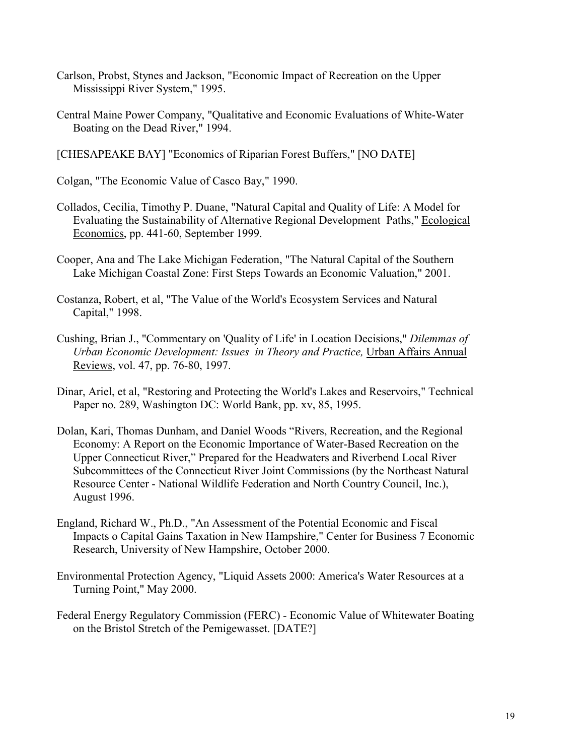- Carlson, Probst, Stynes and Jackson, "Economic Impact of Recreation on the Upper Mississippi River System," 1995.
- Central Maine Power Company, "Qualitative and Economic Evaluations of White-Water Boating on the Dead River," 1994.
- [CHESAPEAKE BAY] "Economics of Riparian Forest Buffers," [NO DATE]

Colgan, "The Economic Value of Casco Bay," 1990.

- Collados, Cecilia, Timothy P. Duane, "Natural Capital and Quality of Life: A Model for Evaluating the Sustainability of Alternative Regional Development Paths," Ecological Economics, pp. 441-60, September 1999.
- Cooper, Ana and The Lake Michigan Federation, "The Natural Capital of the Southern Lake Michigan Coastal Zone: First Steps Towards an Economic Valuation," 2001.
- Costanza, Robert, et al, "The Value of the World's Ecosystem Services and Natural Capital," 1998.
- Cushing, Brian J., "Commentary on 'Quality of Life' in Location Decisions," *Dilemmas of Urban Economic Development: Issues in Theory and Practice,* Urban Affairs Annual Reviews, vol. 47, pp. 76-80, 1997.
- Dinar, Ariel, et al, "Restoring and Protecting the World's Lakes and Reservoirs," Technical Paper no. 289, Washington DC: World Bank, pp. xv, 85, 1995.
- Dolan, Kari, Thomas Dunham, and Daniel Woods "Rivers, Recreation, and the Regional Economy: A Report on the Economic Importance of Water-Based Recreation on the Upper Connecticut River," Prepared for the Headwaters and Riverbend Local River Subcommittees of the Connecticut River Joint Commissions (by the Northeast Natural Resource Center - National Wildlife Federation and North Country Council, Inc.), August 1996.
- England, Richard W., Ph.D., "An Assessment of the Potential Economic and Fiscal Impacts o Capital Gains Taxation in New Hampshire," Center for Business 7 Economic Research, University of New Hampshire, October 2000.
- Environmental Protection Agency, "Liquid Assets 2000: America's Water Resources at a Turning Point," May 2000.
- Federal Energy Regulatory Commission (FERC) Economic Value of Whitewater Boating on the Bristol Stretch of the Pemigewasset. [DATE?]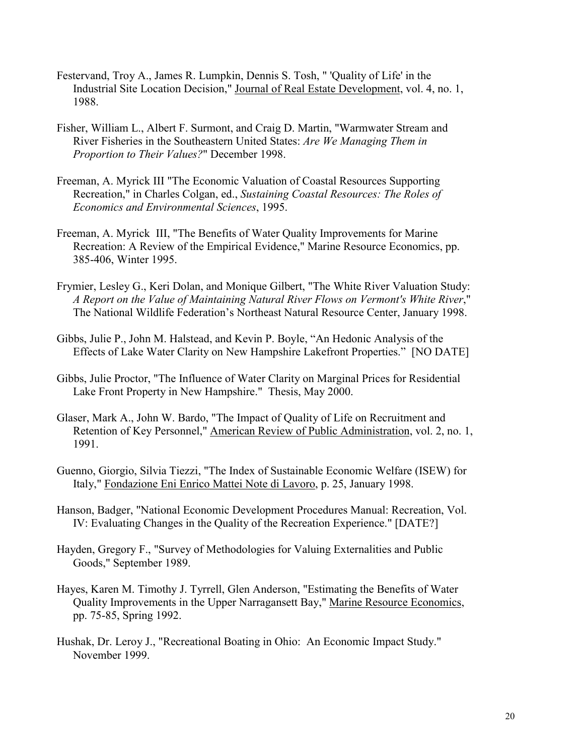- Festervand, Troy A., James R. Lumpkin, Dennis S. Tosh, " 'Quality of Life' in the Industrial Site Location Decision," Journal of Real Estate Development, vol. 4, no. 1, 1988.
- Fisher, William L., Albert F. Surmont, and Craig D. Martin, "Warmwater Stream and River Fisheries in the Southeastern United States: *Are We Managing Them in Proportion to Their Values?*" December 1998.
- Freeman, A. Myrick III "The Economic Valuation of Coastal Resources Supporting Recreation," in Charles Colgan, ed., *Sustaining Coastal Resources: The Roles of Economics and Environmental Sciences*, 1995.
- Freeman, A. Myrick III, "The Benefits of Water Quality Improvements for Marine Recreation: A Review of the Empirical Evidence," Marine Resource Economics, pp. 385-406, Winter 1995.
- Frymier, Lesley G., Keri Dolan, and Monique Gilbert, "The White River Valuation Study: *A Report on the Value of Maintaining Natural River Flows on Vermont's White River*," The National Wildlife Federation's Northeast Natural Resource Center, January 1998.
- Gibbs, Julie P., John M. Halstead, and Kevin P. Boyle, "An Hedonic Analysis of the Effects of Lake Water Clarity on New Hampshire Lakefront Properties." [NO DATE]
- Gibbs, Julie Proctor, "The Influence of Water Clarity on Marginal Prices for Residential Lake Front Property in New Hampshire." Thesis, May 2000.
- Glaser, Mark A., John W. Bardo, "The Impact of Quality of Life on Recruitment and Retention of Key Personnel," American Review of Public Administration, vol. 2, no. 1, 1991.
- Guenno, Giorgio, Silvia Tiezzi, "The Index of Sustainable Economic Welfare (ISEW) for Italy," Fondazione Eni Enrico Mattei Note di Lavoro, p. 25, January 1998.
- Hanson, Badger, "National Economic Development Procedures Manual: Recreation, Vol. IV: Evaluating Changes in the Quality of the Recreation Experience." [DATE?]
- Hayden, Gregory F., "Survey of Methodologies for Valuing Externalities and Public Goods," September 1989.
- Hayes, Karen M. Timothy J. Tyrrell, Glen Anderson, "Estimating the Benefits of Water Quality Improvements in the Upper Narragansett Bay," Marine Resource Economics, pp. 75-85, Spring 1992.
- Hushak, Dr. Leroy J., "Recreational Boating in Ohio: An Economic Impact Study." November 1999.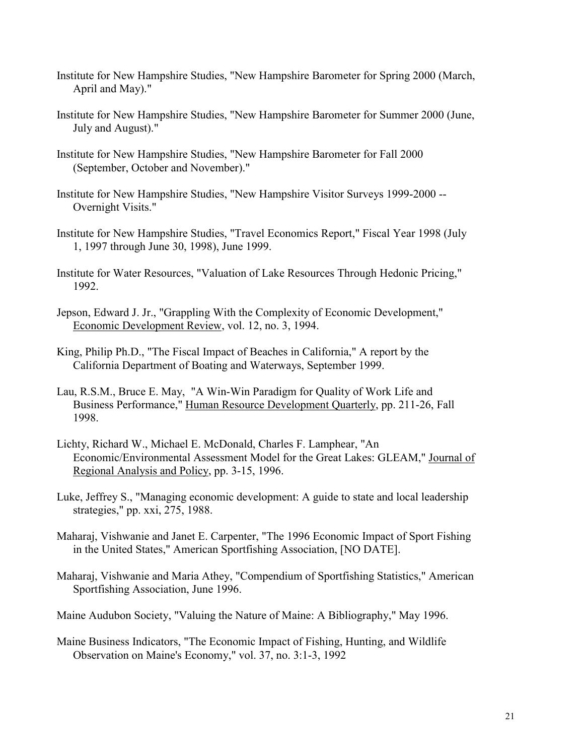- Institute for New Hampshire Studies, "New Hampshire Barometer for Spring 2000 (March, April and May)."
- Institute for New Hampshire Studies, "New Hampshire Barometer for Summer 2000 (June, July and August)."
- Institute for New Hampshire Studies, "New Hampshire Barometer for Fall 2000 (September, October and November)."
- Institute for New Hampshire Studies, "New Hampshire Visitor Surveys 1999-2000 -- Overnight Visits."
- Institute for New Hampshire Studies, "Travel Economics Report," Fiscal Year 1998 (July 1, 1997 through June 30, 1998), June 1999.
- Institute for Water Resources, "Valuation of Lake Resources Through Hedonic Pricing," 1992.
- Jepson, Edward J. Jr., "Grappling With the Complexity of Economic Development," Economic Development Review, vol. 12, no. 3, 1994.
- King, Philip Ph.D., "The Fiscal Impact of Beaches in California," A report by the California Department of Boating and Waterways, September 1999.
- Lau, R.S.M., Bruce E. May, "A Win-Win Paradigm for Quality of Work Life and Business Performance," Human Resource Development Quarterly, pp. 211-26, Fall 1998.
- Lichty, Richard W., Michael E. McDonald, Charles F. Lamphear, "An Economic/Environmental Assessment Model for the Great Lakes: GLEAM," Journal of Regional Analysis and Policy, pp. 3-15, 1996.
- Luke, Jeffrey S., "Managing economic development: A guide to state and local leadership strategies," pp. xxi, 275, 1988.
- Maharaj, Vishwanie and Janet E. Carpenter, "The 1996 Economic Impact of Sport Fishing in the United States," American Sportfishing Association, [NO DATE].
- Maharaj, Vishwanie and Maria Athey, "Compendium of Sportfishing Statistics," American Sportfishing Association, June 1996.
- Maine Audubon Society, "Valuing the Nature of Maine: A Bibliography," May 1996.
- Maine Business Indicators, "The Economic Impact of Fishing, Hunting, and Wildlife Observation on Maine's Economy," vol. 37, no. 3:1-3, 1992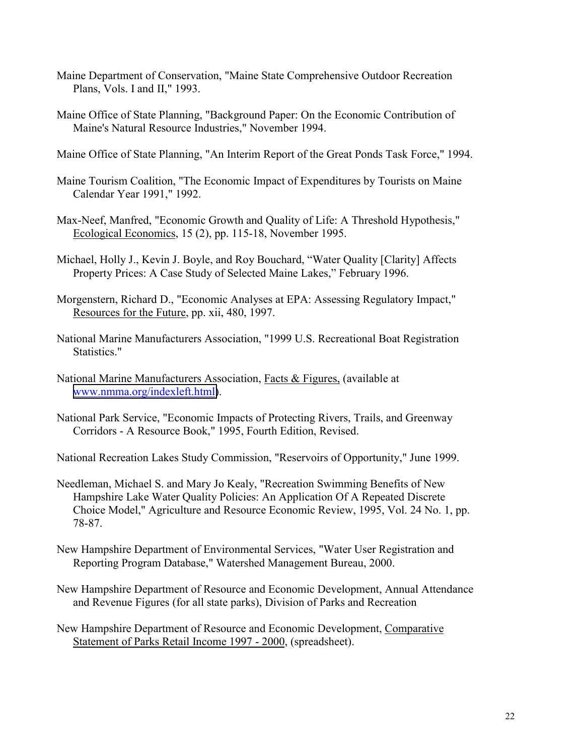- Maine Department of Conservation, "Maine State Comprehensive Outdoor Recreation Plans, Vols. I and II," 1993.
- Maine Office of State Planning, "Background Paper: On the Economic Contribution of Maine's Natural Resource Industries," November 1994.
- Maine Office of State Planning, "An Interim Report of the Great Ponds Task Force," 1994.
- Maine Tourism Coalition, "The Economic Impact of Expenditures by Tourists on Maine Calendar Year 1991," 1992.
- Max-Neef, Manfred, "Economic Growth and Quality of Life: A Threshold Hypothesis," Ecological Economics, 15 (2), pp. 115-18, November 1995.
- Michael, Holly J., Kevin J. Boyle, and Roy Bouchard, "Water Quality [Clarity] Affects Property Prices: A Case Study of Selected Maine Lakes," February 1996.
- Morgenstern, Richard D., "Economic Analyses at EPA: Assessing Regulatory Impact," Resources for the Future, pp. xii, 480, 1997.
- National Marine Manufacturers Association, "1999 U.S. Recreational Boat Registration Statistics."
- National Marine Manufacturers Association, Facts & Figures, (available at [www.nmma.org/indexleft.html\)](http://www.nmma.org/indexleft.html).
- National Park Service, "Economic Impacts of Protecting Rivers, Trails, and Greenway Corridors - A Resource Book," 1995, Fourth Edition, Revised.
- National Recreation Lakes Study Commission, "Reservoirs of Opportunity," June 1999.
- Needleman, Michael S. and Mary Jo Kealy, "Recreation Swimming Benefits of New Hampshire Lake Water Quality Policies: An Application Of A Repeated Discrete Choice Model," Agriculture and Resource Economic Review, 1995, Vol. 24 No. 1, pp. 78-87.
- New Hampshire Department of Environmental Services, "Water User Registration and Reporting Program Database," Watershed Management Bureau, 2000.
- New Hampshire Department of Resource and Economic Development, Annual Attendance and Revenue Figures (for all state parks), Division of Parks and Recreation
- New Hampshire Department of Resource and Economic Development, Comparative Statement of Parks Retail Income 1997 - 2000, (spreadsheet).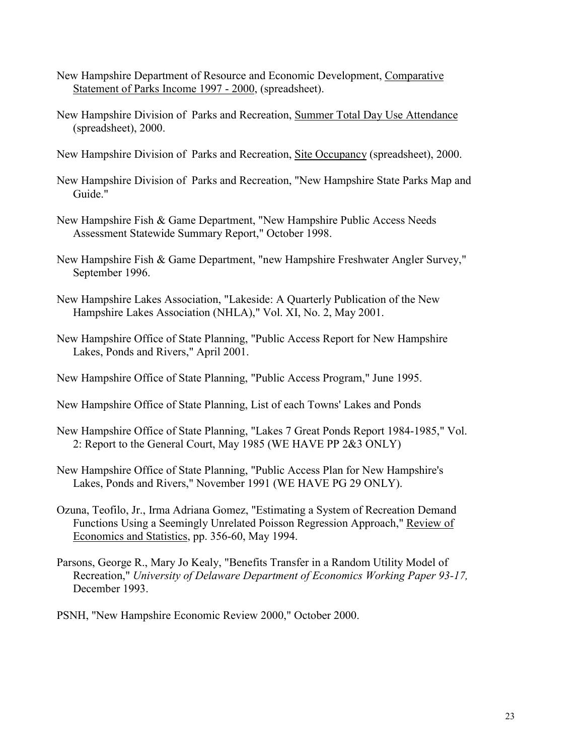- New Hampshire Department of Resource and Economic Development, Comparative Statement of Parks Income 1997 - 2000, (spreadsheet).
- New Hampshire Division of Parks and Recreation, Summer Total Day Use Attendance (spreadsheet), 2000.
- New Hampshire Division of Parks and Recreation, Site Occupancy (spreadsheet), 2000.
- New Hampshire Division of Parks and Recreation, "New Hampshire State Parks Map and Guide."
- New Hampshire Fish & Game Department, "New Hampshire Public Access Needs Assessment Statewide Summary Report," October 1998.
- New Hampshire Fish & Game Department, "new Hampshire Freshwater Angler Survey," September 1996.
- New Hampshire Lakes Association, "Lakeside: A Quarterly Publication of the New Hampshire Lakes Association (NHLA)," Vol. XI, No. 2, May 2001.
- New Hampshire Office of State Planning, "Public Access Report for New Hampshire Lakes, Ponds and Rivers," April 2001.
- New Hampshire Office of State Planning, "Public Access Program," June 1995.
- New Hampshire Office of State Planning, List of each Towns' Lakes and Ponds
- New Hampshire Office of State Planning, "Lakes 7 Great Ponds Report 1984-1985," Vol. 2: Report to the General Court, May 1985 (WE HAVE PP 2&3 ONLY)
- New Hampshire Office of State Planning, "Public Access Plan for New Hampshire's Lakes, Ponds and Rivers," November 1991 (WE HAVE PG 29 ONLY).
- Ozuna, Teofilo, Jr., Irma Adriana Gomez, "Estimating a System of Recreation Demand Functions Using a Seemingly Unrelated Poisson Regression Approach," Review of Economics and Statistics, pp. 356-60, May 1994.
- Parsons, George R., Mary Jo Kealy, "Benefits Transfer in a Random Utility Model of Recreation," *University of Delaware Department of Economics Working Paper 93-17,* December 1993.

PSNH, "New Hampshire Economic Review 2000," October 2000.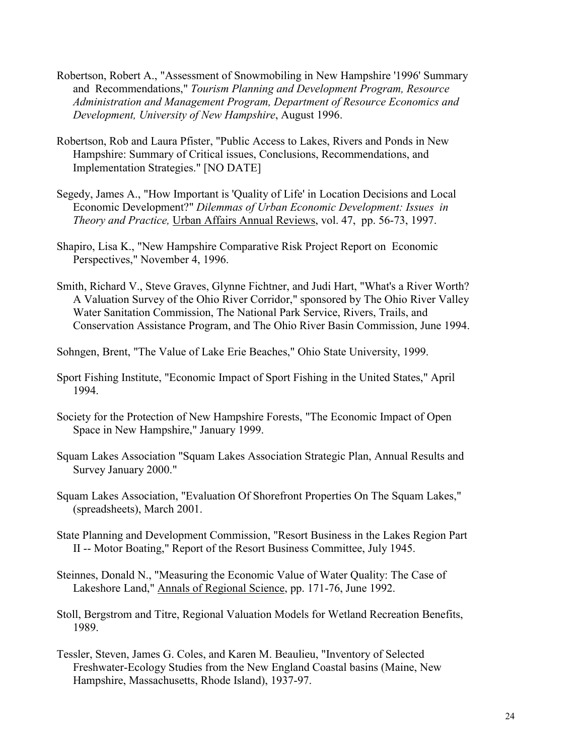- Robertson, Robert A., "Assessment of Snowmobiling in New Hampshire '1996' Summary and Recommendations," *Tourism Planning and Development Program, Resource Administration and Management Program, Department of Resource Economics and Development, University of New Hampshire*, August 1996.
- Robertson, Rob and Laura Pfister, "Public Access to Lakes, Rivers and Ponds in New Hampshire: Summary of Critical issues, Conclusions, Recommendations, and Implementation Strategies." [NO DATE]
- Segedy, James A., "How Important is 'Quality of Life' in Location Decisions and Local Economic Development?" *Dilemmas of Urban Economic Development: Issues in Theory and Practice,* Urban Affairs Annual Reviews, vol. 47, pp. 56-73, 1997.
- Shapiro, Lisa K., "New Hampshire Comparative Risk Project Report on Economic Perspectives," November 4, 1996.
- Smith, Richard V., Steve Graves, Glynne Fichtner, and Judi Hart, "What's a River Worth? A Valuation Survey of the Ohio River Corridor," sponsored by The Ohio River Valley Water Sanitation Commission, The National Park Service, Rivers, Trails, and Conservation Assistance Program, and The Ohio River Basin Commission, June 1994.
- Sohngen, Brent, "The Value of Lake Erie Beaches," Ohio State University, 1999.
- Sport Fishing Institute, "Economic Impact of Sport Fishing in the United States," April 1994.
- Society for the Protection of New Hampshire Forests, "The Economic Impact of Open Space in New Hampshire," January 1999.
- Squam Lakes Association "Squam Lakes Association Strategic Plan, Annual Results and Survey January 2000."
- Squam Lakes Association, "Evaluation Of Shorefront Properties On The Squam Lakes," (spreadsheets), March 2001.
- State Planning and Development Commission, "Resort Business in the Lakes Region Part II -- Motor Boating," Report of the Resort Business Committee, July 1945.
- Steinnes, Donald N., "Measuring the Economic Value of Water Quality: The Case of Lakeshore Land," Annals of Regional Science, pp. 171-76, June 1992.
- Stoll, Bergstrom and Titre, Regional Valuation Models for Wetland Recreation Benefits, 1989.
- Tessler, Steven, James G. Coles, and Karen M. Beaulieu, "Inventory of Selected Freshwater-Ecology Studies from the New England Coastal basins (Maine, New Hampshire, Massachusetts, Rhode Island), 1937-97.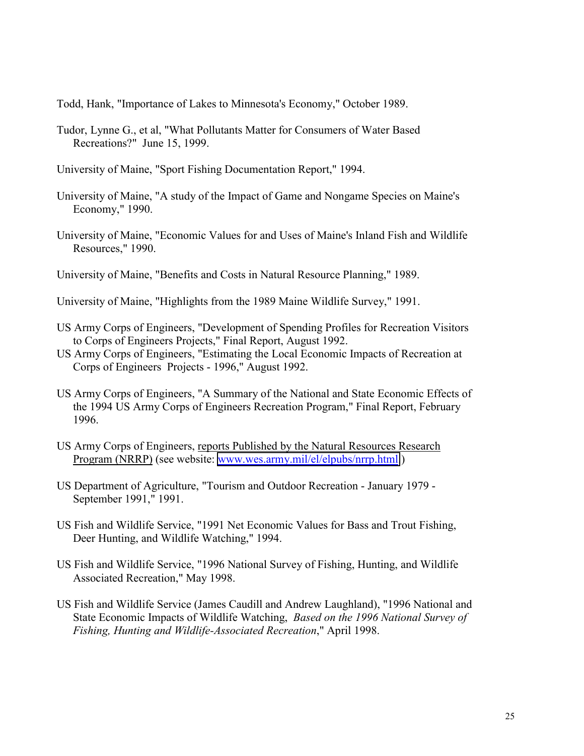Todd, Hank, "Importance of Lakes to Minnesota's Economy," October 1989.

Tudor, Lynne G., et al, "What Pollutants Matter for Consumers of Water Based Recreations?" June 15, 1999.

University of Maine, "Sport Fishing Documentation Report," 1994.

- University of Maine, "A study of the Impact of Game and Nongame Species on Maine's Economy," 1990.
- University of Maine, "Economic Values for and Uses of Maine's Inland Fish and Wildlife Resources," 1990.
- University of Maine, "Benefits and Costs in Natural Resource Planning," 1989.
- University of Maine, "Highlights from the 1989 Maine Wildlife Survey," 1991.
- US Army Corps of Engineers, "Development of Spending Profiles for Recreation Visitors to Corps of Engineers Projects," Final Report, August 1992.
- US Army Corps of Engineers, "Estimating the Local Economic Impacts of Recreation at Corps of Engineers Projects - 1996," August 1992.
- US Army Corps of Engineers, "A Summary of the National and State Economic Effects of the 1994 US Army Corps of Engineers Recreation Program," Final Report, February 1996.
- US Army Corps of Engineers, reports Published by the Natural Resources Research Program (NRRP) (see website: [www.wes.army.mil/el/elpubs/nrrp.html.](http://www.wes.army.mil/el/elpubs/nrrp.html))
- US Department of Agriculture, "Tourism and Outdoor Recreation January 1979 September 1991," 1991.
- US Fish and Wildlife Service, "1991 Net Economic Values for Bass and Trout Fishing, Deer Hunting, and Wildlife Watching," 1994.
- US Fish and Wildlife Service, "1996 National Survey of Fishing, Hunting, and Wildlife Associated Recreation," May 1998.
- US Fish and Wildlife Service (James Caudill and Andrew Laughland), "1996 National and State Economic Impacts of Wildlife Watching, *Based on the 1996 National Survey of Fishing, Hunting and Wildlife-Associated Recreation*," April 1998.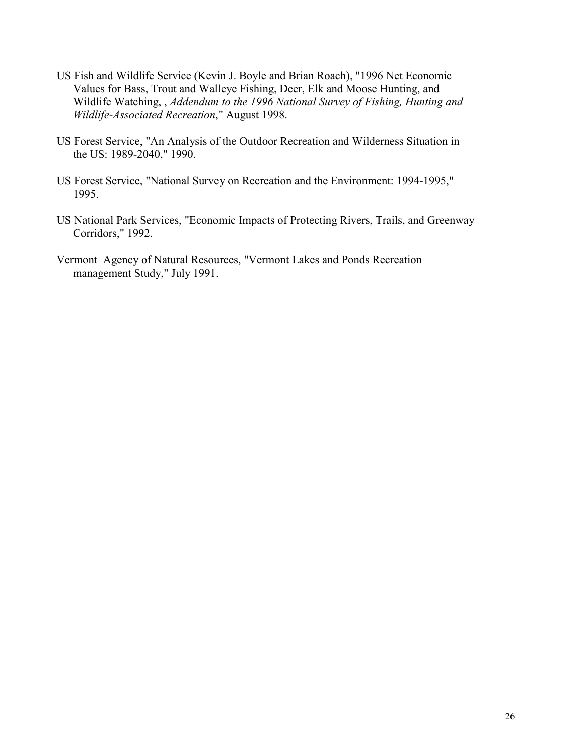- US Fish and Wildlife Service (Kevin J. Boyle and Brian Roach), "1996 Net Economic Values for Bass, Trout and Walleye Fishing, Deer, Elk and Moose Hunting, and Wildlife Watching, , *Addendum to the 1996 National Survey of Fishing, Hunting and Wildlife-Associated Recreation*," August 1998.
- US Forest Service, "An Analysis of the Outdoor Recreation and Wilderness Situation in the US: 1989-2040," 1990.
- US Forest Service, "National Survey on Recreation and the Environment: 1994-1995," 1995.
- US National Park Services, "Economic Impacts of Protecting Rivers, Trails, and Greenway Corridors," 1992.
- Vermont Agency of Natural Resources, "Vermont Lakes and Ponds Recreation management Study," July 1991.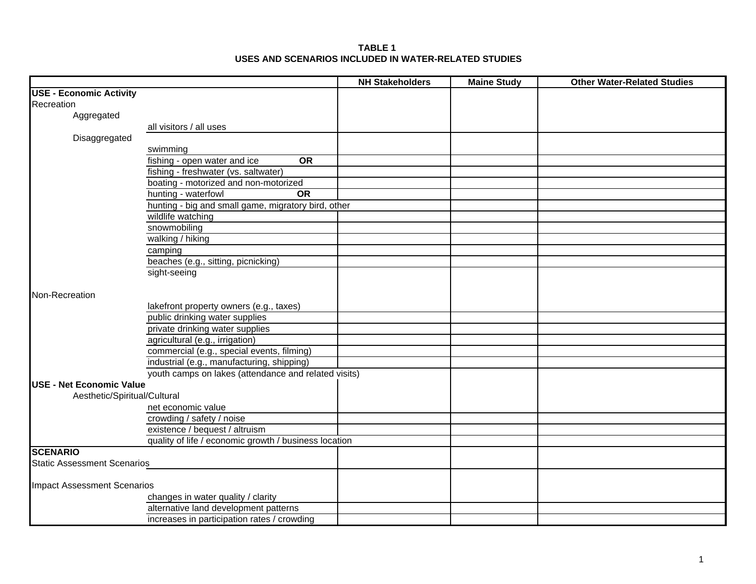| <b>TABLE 1</b>                                       |
|------------------------------------------------------|
| USES AND SCENARIOS INCLUDED IN WATER-RELATED STUDIES |

|                                    |                                                       | <b>NH Stakeholders</b> | <b>Maine Study</b> | <b>Other Water-Related Studies</b> |
|------------------------------------|-------------------------------------------------------|------------------------|--------------------|------------------------------------|
| <b>USE - Economic Activity</b>     |                                                       |                        |                    |                                    |
| Recreation                         |                                                       |                        |                    |                                    |
| Aggregated                         |                                                       |                        |                    |                                    |
|                                    | all visitors / all uses                               |                        |                    |                                    |
| Disaggregated                      |                                                       |                        |                    |                                    |
|                                    | swimming                                              |                        |                    |                                    |
|                                    | fishing - open water and ice<br>OR                    |                        |                    |                                    |
|                                    | fishing - freshwater (vs. saltwater)                  |                        |                    |                                    |
|                                    | boating - motorized and non-motorized                 |                        |                    |                                    |
|                                    | hunting - waterfowl<br><b>OR</b>                      |                        |                    |                                    |
|                                    | hunting - big and small game, migratory bird, other   |                        |                    |                                    |
|                                    | wildlife watching                                     |                        |                    |                                    |
|                                    | snowmobiling                                          |                        |                    |                                    |
|                                    | walking / hiking                                      |                        |                    |                                    |
|                                    | camping                                               |                        |                    |                                    |
|                                    | beaches (e.g., sitting, picnicking)                   |                        |                    |                                    |
|                                    | sight-seeing                                          |                        |                    |                                    |
|                                    |                                                       |                        |                    |                                    |
| Non-Recreation                     |                                                       |                        |                    |                                    |
|                                    | lakefront property owners (e.g., taxes)               |                        |                    |                                    |
|                                    | public drinking water supplies                        |                        |                    |                                    |
|                                    | private drinking water supplies                       |                        |                    |                                    |
|                                    | agricultural (e.g., irrigation)                       |                        |                    |                                    |
|                                    | commercial (e.g., special events, filming)            |                        |                    |                                    |
|                                    | industrial (e.g., manufacturing, shipping)            |                        |                    |                                    |
|                                    | youth camps on lakes (attendance and related visits)  |                        |                    |                                    |
| <b>USE - Net Economic Value</b>    |                                                       |                        |                    |                                    |
| Aesthetic/Spiritual/Cultural       |                                                       |                        |                    |                                    |
|                                    | net economic value                                    |                        |                    |                                    |
|                                    | crowding / safety / noise                             |                        |                    |                                    |
|                                    | existence / bequest / altruism                        |                        |                    |                                    |
|                                    | quality of life / economic growth / business location |                        |                    |                                    |
| <b>SCENARIO</b>                    |                                                       |                        |                    |                                    |
| <b>Static Assessment Scenarios</b> |                                                       |                        |                    |                                    |
|                                    |                                                       |                        |                    |                                    |
| <b>Impact Assessment Scenarios</b> |                                                       |                        |                    |                                    |
|                                    | changes in water quality / clarity                    |                        |                    |                                    |
|                                    | alternative land development patterns                 |                        |                    |                                    |
|                                    | increases in participation rates / crowding           |                        |                    |                                    |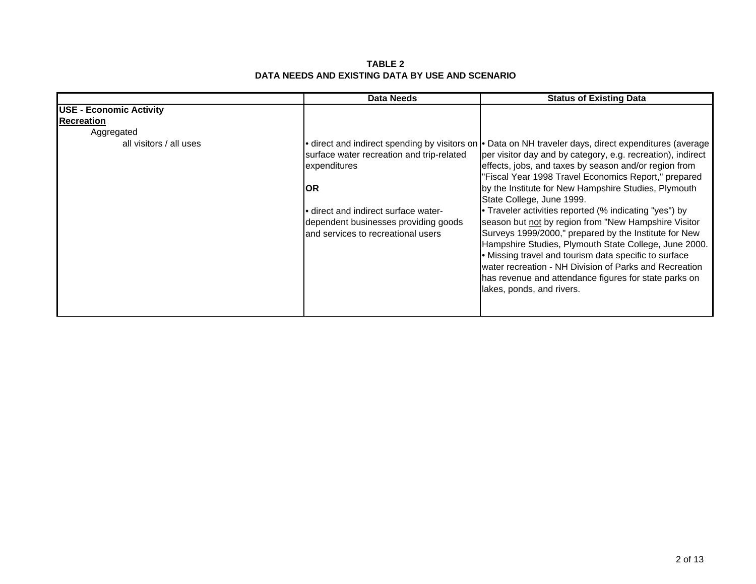**TABLE 2 DATA NEEDS AND EXISTING DATA BY USE AND SCENARIO**

|                                | <b>Data Needs</b>                                                                                                                                                                       | <b>Status of Existing Data</b>                                                                                                                                                                                                                                                                                                                                                                                                                                                                                                                                                                                                                                                                                                                                                                                         |
|--------------------------------|-----------------------------------------------------------------------------------------------------------------------------------------------------------------------------------------|------------------------------------------------------------------------------------------------------------------------------------------------------------------------------------------------------------------------------------------------------------------------------------------------------------------------------------------------------------------------------------------------------------------------------------------------------------------------------------------------------------------------------------------------------------------------------------------------------------------------------------------------------------------------------------------------------------------------------------------------------------------------------------------------------------------------|
| <b>USE - Economic Activity</b> |                                                                                                                                                                                         |                                                                                                                                                                                                                                                                                                                                                                                                                                                                                                                                                                                                                                                                                                                                                                                                                        |
| Recreation                     |                                                                                                                                                                                         |                                                                                                                                                                                                                                                                                                                                                                                                                                                                                                                                                                                                                                                                                                                                                                                                                        |
| Aggregated                     |                                                                                                                                                                                         |                                                                                                                                                                                                                                                                                                                                                                                                                                                                                                                                                                                                                                                                                                                                                                                                                        |
| all visitors / all uses        | surface water recreation and trip-related<br>expenditures<br>IOR.<br>• direct and indirect surface water-<br>dependent businesses providing goods<br>and services to recreational users | direct and indirect spending by visitors on • Data on NH traveler days, direct expenditures (average<br>per visitor day and by category, e.g. recreation), indirect<br>effects, jobs, and taxes by season and/or region from<br>"Fiscal Year 1998 Travel Economics Report," prepared<br>by the Institute for New Hampshire Studies, Plymouth<br>State College, June 1999.<br>• Traveler activities reported (% indicating "yes") by<br>season but not by region from "New Hampshire Visitor<br>Surveys 1999/2000," prepared by the Institute for New<br>Hampshire Studies, Plymouth State College, June 2000.<br>• Missing travel and tourism data specific to surface<br>water recreation - NH Division of Parks and Recreation<br>has revenue and attendance figures for state parks on<br>lakes, ponds, and rivers. |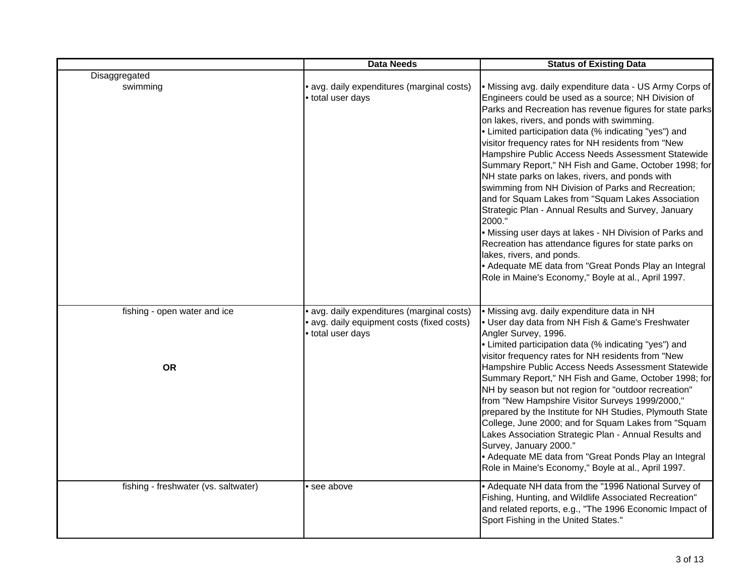|                                      | <b>Data Needs</b>                                                                                           | <b>Status of Existing Data</b>                                                                                                                                                                                                                                                                                                                                                                                                                                                                                                                                                                                                                                                                                                                                                                                                                                                                                                                        |
|--------------------------------------|-------------------------------------------------------------------------------------------------------------|-------------------------------------------------------------------------------------------------------------------------------------------------------------------------------------------------------------------------------------------------------------------------------------------------------------------------------------------------------------------------------------------------------------------------------------------------------------------------------------------------------------------------------------------------------------------------------------------------------------------------------------------------------------------------------------------------------------------------------------------------------------------------------------------------------------------------------------------------------------------------------------------------------------------------------------------------------|
| Disaggregated                        |                                                                                                             |                                                                                                                                                                                                                                                                                                                                                                                                                                                                                                                                                                                                                                                                                                                                                                                                                                                                                                                                                       |
| swimming                             | avg. daily expenditures (marginal costs)<br>· total user days                                               | • Missing avg. daily expenditure data - US Army Corps of<br>Engineers could be used as a source; NH Division of<br>Parks and Recreation has revenue figures for state parks<br>on lakes, rivers, and ponds with swimming.<br>• Limited participation data (% indicating "yes") and<br>visitor frequency rates for NH residents from "New<br>Hampshire Public Access Needs Assessment Statewide<br>Summary Report," NH Fish and Game, October 1998; for<br>NH state parks on lakes, rivers, and ponds with<br>swimming from NH Division of Parks and Recreation;<br>and for Squam Lakes from "Squam Lakes Association<br>Strategic Plan - Annual Results and Survey, January<br>2000."<br>. Missing user days at lakes - NH Division of Parks and<br>Recreation has attendance figures for state parks on<br>lakes, rivers, and ponds.<br>• Adequate ME data from "Great Ponds Play an Integral<br>Role in Maine's Economy," Boyle at al., April 1997. |
| fishing - open water and ice         | avg. daily expenditures (marginal costs)<br>· avg. daily equipment costs (fixed costs)<br>· total user days | · Missing avg. daily expenditure data in NH<br>• User day data from NH Fish & Game's Freshwater<br>Angler Survey, 1996.<br>• Limited participation data (% indicating "yes") and                                                                                                                                                                                                                                                                                                                                                                                                                                                                                                                                                                                                                                                                                                                                                                      |
| <b>OR</b>                            |                                                                                                             | visitor frequency rates for NH residents from "New<br>Hampshire Public Access Needs Assessment Statewide<br>Summary Report," NH Fish and Game, October 1998; for<br>NH by season but not region for "outdoor recreation"<br>from "New Hampshire Visitor Surveys 1999/2000,"<br>prepared by the Institute for NH Studies, Plymouth State<br>College, June 2000; and for Squam Lakes from "Squam<br>Lakes Association Strategic Plan - Annual Results and<br>Survey, January 2000."<br>• Adequate ME data from "Great Ponds Play an Integral<br>Role in Maine's Economy," Boyle at al., April 1997.                                                                                                                                                                                                                                                                                                                                                     |
| fishing - freshwater (vs. saltwater) | • see above                                                                                                 | • Adequate NH data from the "1996 National Survey of<br>Fishing, Hunting, and Wildlife Associated Recreation"<br>and related reports, e.g., "The 1996 Economic Impact of<br>Sport Fishing in the United States."                                                                                                                                                                                                                                                                                                                                                                                                                                                                                                                                                                                                                                                                                                                                      |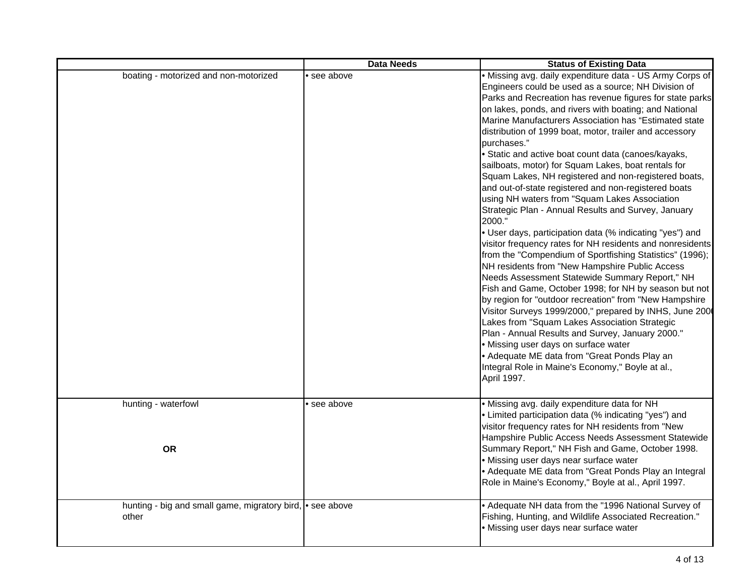|                                                                    | <b>Data Needs</b> | <b>Status of Existing Data</b>                                                                                                                                                                                                                                                                                                                                                                                                                                                                                                                                                                                                                                                                                                                                                                                                                                                                                                                                                                                                                                                                                                                                                                                                                                                                                                                                                                                                                                 |
|--------------------------------------------------------------------|-------------------|----------------------------------------------------------------------------------------------------------------------------------------------------------------------------------------------------------------------------------------------------------------------------------------------------------------------------------------------------------------------------------------------------------------------------------------------------------------------------------------------------------------------------------------------------------------------------------------------------------------------------------------------------------------------------------------------------------------------------------------------------------------------------------------------------------------------------------------------------------------------------------------------------------------------------------------------------------------------------------------------------------------------------------------------------------------------------------------------------------------------------------------------------------------------------------------------------------------------------------------------------------------------------------------------------------------------------------------------------------------------------------------------------------------------------------------------------------------|
| boating - motorized and non-motorized                              | • see above       | · Missing avg. daily expenditure data - US Army Corps of<br>Engineers could be used as a source; NH Division of<br>Parks and Recreation has revenue figures for state parks<br>on lakes, ponds, and rivers with boating; and National<br>Marine Manufacturers Association has "Estimated state<br>distribution of 1999 boat, motor, trailer and accessory<br>purchases."<br>· Static and active boat count data (canoes/kayaks,<br>sailboats, motor) for Squam Lakes, boat rentals for<br>Squam Lakes, NH registered and non-registered boats,<br>and out-of-state registered and non-registered boats<br>using NH waters from "Squam Lakes Association<br>Strategic Plan - Annual Results and Survey, January<br>2000."<br>• User days, participation data (% indicating "yes") and<br>visitor frequency rates for NH residents and nonresidents<br>from the "Compendium of Sportfishing Statistics" (1996);<br>NH residents from "New Hampshire Public Access<br>Needs Assessment Statewide Summary Report," NH<br>Fish and Game, October 1998; for NH by season but not<br>by region for "outdoor recreation" from "New Hampshire<br>Visitor Surveys 1999/2000," prepared by INHS, June 200<br>Lakes from "Squam Lakes Association Strategic<br>Plan - Annual Results and Survey, January 2000."<br>• Missing user days on surface water<br>• Adequate ME data from "Great Ponds Play an<br>Integral Role in Maine's Economy," Boyle at al.,<br>April 1997. |
| hunting - waterfowl<br><b>OR</b>                                   | · see above       | · Missing avg. daily expenditure data for NH<br>• Limited participation data (% indicating "yes") and<br>visitor frequency rates for NH residents from "New<br>Hampshire Public Access Needs Assessment Statewide<br>Summary Report," NH Fish and Game, October 1998.<br>· Missing user days near surface water<br>• Adequate ME data from "Great Ponds Play an Integral                                                                                                                                                                                                                                                                                                                                                                                                                                                                                                                                                                                                                                                                                                                                                                                                                                                                                                                                                                                                                                                                                       |
| hunting - big and small game, migratory bird, • see above<br>other |                   | Role in Maine's Economy," Boyle at al., April 1997.<br>• Adequate NH data from the "1996 National Survey of<br>Fishing, Hunting, and Wildlife Associated Recreation."<br>· Missing user days near surface water                                                                                                                                                                                                                                                                                                                                                                                                                                                                                                                                                                                                                                                                                                                                                                                                                                                                                                                                                                                                                                                                                                                                                                                                                                                |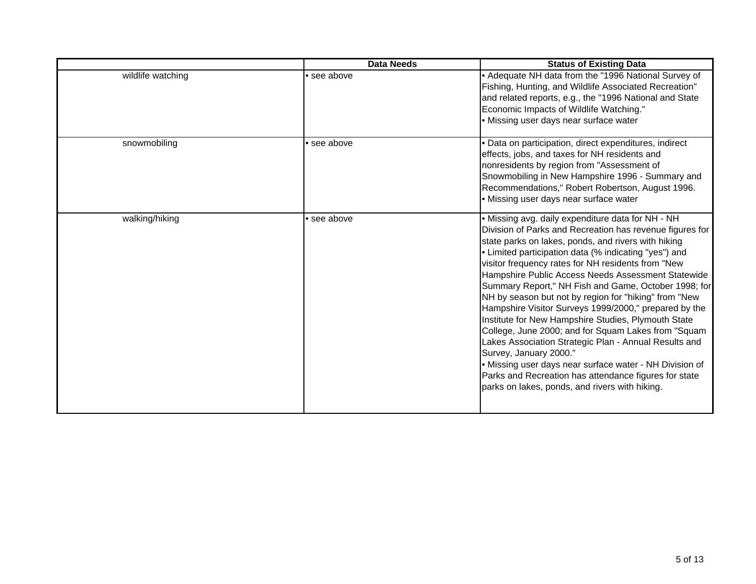|                   | <b>Data Needs</b> | <b>Status of Existing Data</b>                                                                                                                                                                                                                                                                                                                                                                                                                                                                                                                                                                                                                                                                                                                                                                                                                                                             |
|-------------------|-------------------|--------------------------------------------------------------------------------------------------------------------------------------------------------------------------------------------------------------------------------------------------------------------------------------------------------------------------------------------------------------------------------------------------------------------------------------------------------------------------------------------------------------------------------------------------------------------------------------------------------------------------------------------------------------------------------------------------------------------------------------------------------------------------------------------------------------------------------------------------------------------------------------------|
| wildlife watching | see above         | • Adequate NH data from the "1996 National Survey of<br>Fishing, Hunting, and Wildlife Associated Recreation"<br>and related reports, e.g., the "1996 National and State<br>Economic Impacts of Wildlife Watching."<br>· Missing user days near surface water                                                                                                                                                                                                                                                                                                                                                                                                                                                                                                                                                                                                                              |
| snowmobiling      | · see above       | · Data on participation, direct expenditures, indirect<br>effects, jobs, and taxes for NH residents and<br>nonresidents by region from "Assessment of<br>Snowmobiling in New Hampshire 1996 - Summary and<br>Recommendations," Robert Robertson, August 1996.<br>• Missing user days near surface water                                                                                                                                                                                                                                                                                                                                                                                                                                                                                                                                                                                    |
| walking/hiking    | see above         | . Missing avg. daily expenditure data for NH - NH<br>Division of Parks and Recreation has revenue figures for<br>state parks on lakes, ponds, and rivers with hiking<br>• Limited participation data (% indicating "yes") and<br>visitor frequency rates for NH residents from "New<br>Hampshire Public Access Needs Assessment Statewide<br>Summary Report," NH Fish and Game, October 1998; for<br>NH by season but not by region for "hiking" from "New<br>Hampshire Visitor Surveys 1999/2000," prepared by the<br>Institute for New Hampshire Studies, Plymouth State<br>College, June 2000; and for Squam Lakes from "Squam<br>Lakes Association Strategic Plan - Annual Results and<br>Survey, January 2000."<br>• Missing user days near surface water - NH Division of<br>Parks and Recreation has attendance figures for state<br>parks on lakes, ponds, and rivers with hiking. |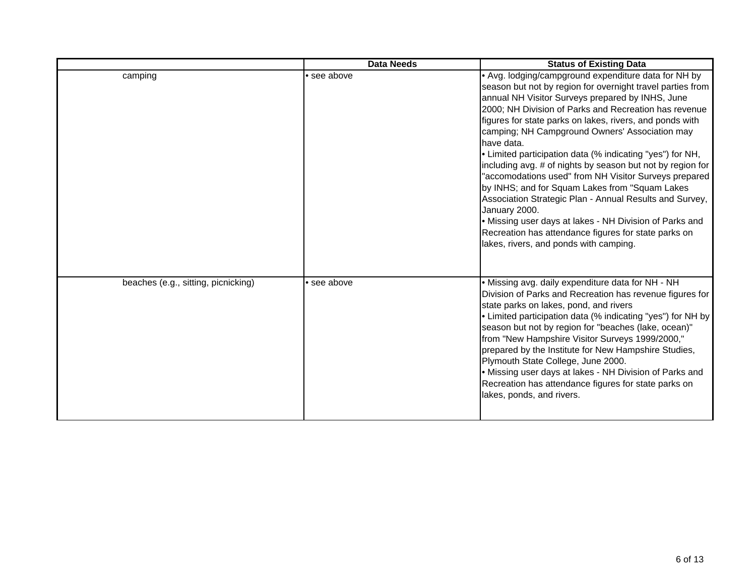|                                     | <b>Data Needs</b> | <b>Status of Existing Data</b>                                                                                                                                                                                                                                                                                                                                                                                                                                                                                                                                                                                                                                                                                                                                                                                                             |
|-------------------------------------|-------------------|--------------------------------------------------------------------------------------------------------------------------------------------------------------------------------------------------------------------------------------------------------------------------------------------------------------------------------------------------------------------------------------------------------------------------------------------------------------------------------------------------------------------------------------------------------------------------------------------------------------------------------------------------------------------------------------------------------------------------------------------------------------------------------------------------------------------------------------------|
| camping                             | see above         | • Avg. lodging/campground expenditure data for NH by<br>season but not by region for overnight travel parties from<br>annual NH Visitor Surveys prepared by INHS, June<br>2000; NH Division of Parks and Recreation has revenue<br>figures for state parks on lakes, rivers, and ponds with<br>camping; NH Campground Owners' Association may<br>have data.<br>• Limited participation data (% indicating "yes") for NH,<br>including avg. # of nights by season but not by region for<br>"accomodations used" from NH Visitor Surveys prepared<br>by INHS; and for Squam Lakes from "Squam Lakes<br>Association Strategic Plan - Annual Results and Survey,<br>January 2000.<br>• Missing user days at lakes - NH Division of Parks and<br>Recreation has attendance figures for state parks on<br>lakes, rivers, and ponds with camping. |
| beaches (e.g., sitting, picnicking) | • see above       | • Missing avg. daily expenditure data for NH - NH<br>Division of Parks and Recreation has revenue figures for<br>state parks on lakes, pond, and rivers<br>• Limited participation data (% indicating "yes") for NH by<br>season but not by region for "beaches (lake, ocean)"<br>from "New Hampshire Visitor Surveys 1999/2000,"<br>prepared by the Institute for New Hampshire Studies,<br>Plymouth State College, June 2000.<br>• Missing user days at lakes - NH Division of Parks and<br>Recreation has attendance figures for state parks on<br>lakes, ponds, and rivers.                                                                                                                                                                                                                                                            |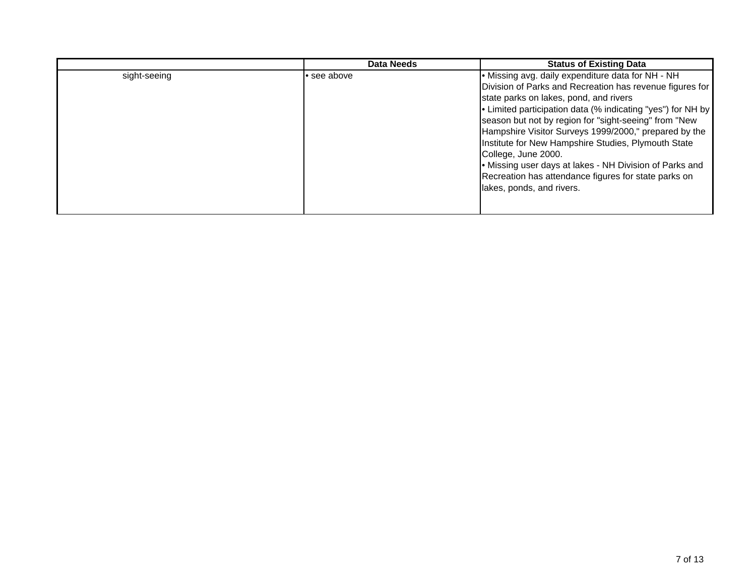|              | Data Needs  | <b>Status of Existing Data</b>                                                                                                                                                                                                                                                                                                           |
|--------------|-------------|------------------------------------------------------------------------------------------------------------------------------------------------------------------------------------------------------------------------------------------------------------------------------------------------------------------------------------------|
| sight-seeing | • see above | • Missing avg. daily expenditure data for NH - NH<br>Division of Parks and Recreation has revenue figures for<br>state parks on lakes, pond, and rivers<br>• Limited participation data (% indicating "yes") for NH by<br>season but not by region for "sight-seeing" from "New<br>Hampshire Visitor Surveys 1999/2000," prepared by the |
|              |             | Institute for New Hampshire Studies, Plymouth State<br>College, June 2000.<br>• Missing user days at lakes - NH Division of Parks and<br>Recreation has attendance figures for state parks on<br>lakes, ponds, and rivers.                                                                                                               |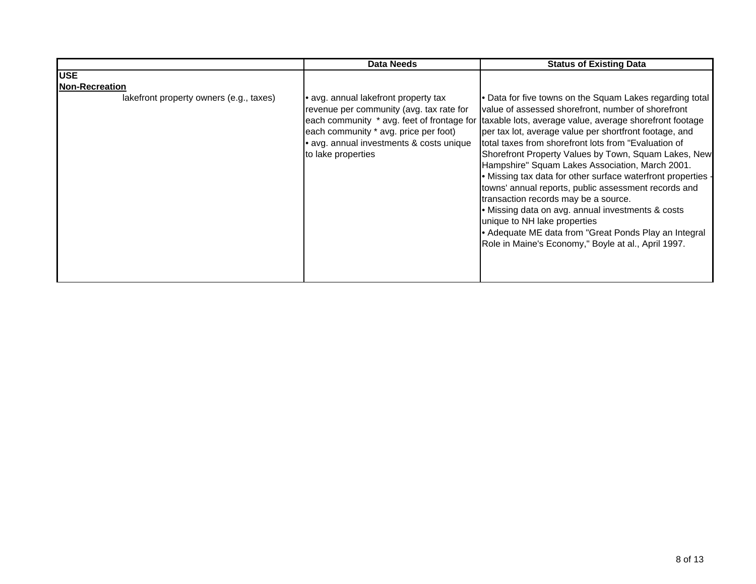|                                         | <b>Data Needs</b>                                                                                                                                                                         | <b>Status of Existing Data</b>                                                                                                                                                                                                                                                                                                                                                                                                                                                                                                                                                                                                                                                                                                                                                                                         |
|-----------------------------------------|-------------------------------------------------------------------------------------------------------------------------------------------------------------------------------------------|------------------------------------------------------------------------------------------------------------------------------------------------------------------------------------------------------------------------------------------------------------------------------------------------------------------------------------------------------------------------------------------------------------------------------------------------------------------------------------------------------------------------------------------------------------------------------------------------------------------------------------------------------------------------------------------------------------------------------------------------------------------------------------------------------------------------|
| <b>USE</b>                              |                                                                                                                                                                                           |                                                                                                                                                                                                                                                                                                                                                                                                                                                                                                                                                                                                                                                                                                                                                                                                                        |
| <b>Non-Recreation</b>                   |                                                                                                                                                                                           |                                                                                                                                                                                                                                                                                                                                                                                                                                                                                                                                                                                                                                                                                                                                                                                                                        |
| lakefront property owners (e.g., taxes) | avg. annual lakefront property tax<br>revenue per community (avg. tax rate for<br>each community * avg. price per foot)<br>• avg. annual investments & costs unique<br>to lake properties | • Data for five towns on the Squam Lakes regarding total<br>value of assessed shorefront, number of shorefront<br>each community * avg. feet of frontage for taxable lots, average value, average shorefront footage<br>per tax lot, average value per shortfront footage, and<br>total taxes from shorefront lots from "Evaluation of<br>Shorefront Property Values by Town, Squam Lakes, New<br>Hampshire" Squam Lakes Association, March 2001.<br>• Missing tax data for other surface waterfront properties -<br>towns' annual reports, public assessment records and<br>transaction records may be a source.<br>• Missing data on avg. annual investments & costs<br>unique to NH lake properties<br>• Adequate ME data from "Great Ponds Play an Integral<br>Role in Maine's Economy," Boyle at al., April 1997. |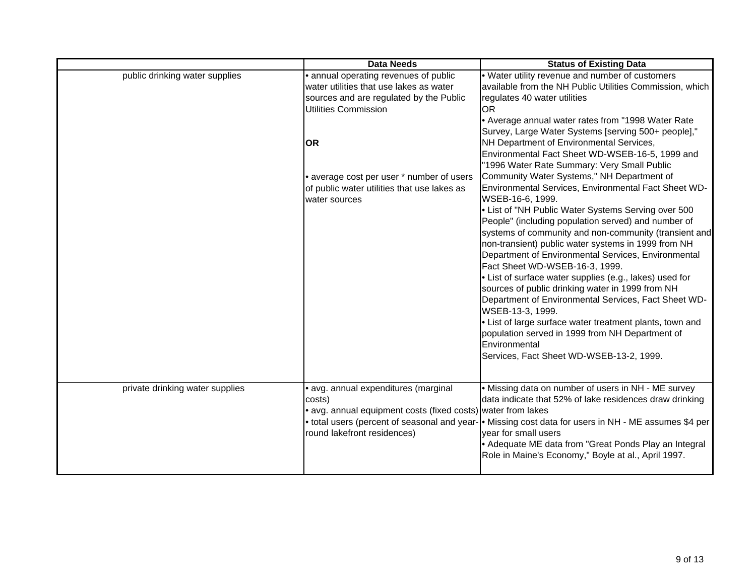|                                 | <b>Data Needs</b>                                                                                                                                                                                                                                                             | <b>Status of Existing Data</b>                                                                                                                                                                                                                                                                                                                                                                                                                                                                                                                                                                                                                                                                                                                                                                                                                                                                                                                                                                                                                                                                                                                                                                                                        |
|---------------------------------|-------------------------------------------------------------------------------------------------------------------------------------------------------------------------------------------------------------------------------------------------------------------------------|---------------------------------------------------------------------------------------------------------------------------------------------------------------------------------------------------------------------------------------------------------------------------------------------------------------------------------------------------------------------------------------------------------------------------------------------------------------------------------------------------------------------------------------------------------------------------------------------------------------------------------------------------------------------------------------------------------------------------------------------------------------------------------------------------------------------------------------------------------------------------------------------------------------------------------------------------------------------------------------------------------------------------------------------------------------------------------------------------------------------------------------------------------------------------------------------------------------------------------------|
| public drinking water supplies  | • annual operating revenues of public<br>water utilities that use lakes as water<br>sources and are regulated by the Public<br>Utilities Commission<br><b>OR</b><br>• average cost per user * number of users<br>of public water utilities that use lakes as<br>water sources | . Water utility revenue and number of customers<br>available from the NH Public Utilities Commission, which<br>regulates 40 water utilities<br>IOR<br>• Average annual water rates from "1998 Water Rate<br>Survey, Large Water Systems [serving 500+ people],"<br>NH Department of Environmental Services,<br>Environmental Fact Sheet WD-WSEB-16-5, 1999 and<br>"1996 Water Rate Summary: Very Small Public<br>Community Water Systems," NH Department of<br>Environmental Services, Environmental Fact Sheet WD-<br>WSEB-16-6, 1999.<br>• List of "NH Public Water Systems Serving over 500<br>People" (including population served) and number of<br>systems of community and non-community (transient and<br>non-transient) public water systems in 1999 from NH<br>Department of Environmental Services, Environmental<br>Fact Sheet WD-WSEB-16-3, 1999.<br>• List of surface water supplies (e.g., lakes) used for<br>sources of public drinking water in 1999 from NH<br>Department of Environmental Services, Fact Sheet WD-<br>WSEB-13-3, 1999.<br>• List of large surface water treatment plants, town and<br>population served in 1999 from NH Department of<br>Environmental<br>Services, Fact Sheet WD-WSEB-13-2, 1999. |
| private drinking water supplies | · avg. annual expenditures (marginal<br>costs)<br>• avg. annual equipment costs (fixed costs) water from lakes<br>round lakefront residences)                                                                                                                                 | • Missing data on number of users in NH - ME survey<br>data indicate that 52% of lake residences draw drinking<br>• total users (percent of seasonal and year- • Missing cost data for users in NH - ME assumes \$4 per<br>year for small users<br>• Adequate ME data from "Great Ponds Play an Integral<br>Role in Maine's Economy," Boyle at al., April 1997.                                                                                                                                                                                                                                                                                                                                                                                                                                                                                                                                                                                                                                                                                                                                                                                                                                                                       |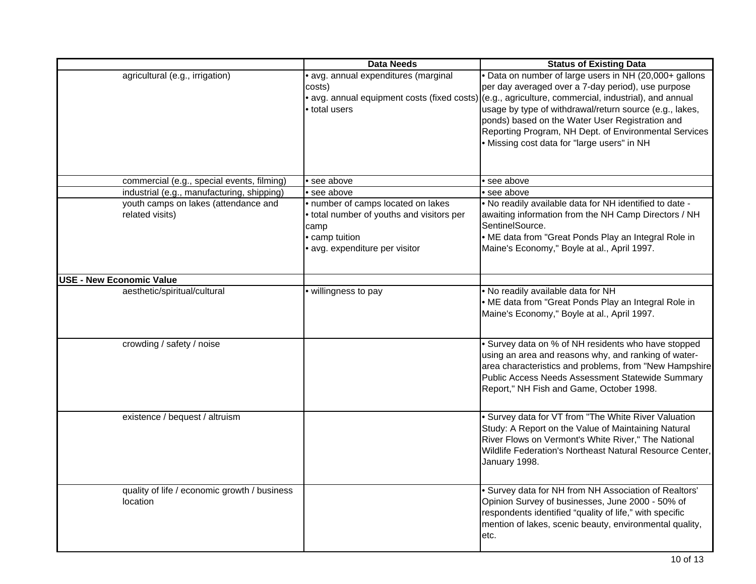|                                                          | <b>Data Needs</b>                           | <b>Status of Existing Data</b>                                                                                                                                                                                                                                                                                                                                                                                                                                                                                                                                                                                                                              |
|----------------------------------------------------------|---------------------------------------------|-------------------------------------------------------------------------------------------------------------------------------------------------------------------------------------------------------------------------------------------------------------------------------------------------------------------------------------------------------------------------------------------------------------------------------------------------------------------------------------------------------------------------------------------------------------------------------------------------------------------------------------------------------------|
| agricultural (e.g., irrigation)                          | · avg. annual expenditures (marginal        | . Data on number of large users in NH (20,000+ gallons                                                                                                                                                                                                                                                                                                                                                                                                                                                                                                                                                                                                      |
|                                                          | costs)                                      | per day averaged over a 7-day period), use purpose                                                                                                                                                                                                                                                                                                                                                                                                                                                                                                                                                                                                          |
|                                                          | • avg. annual equipment costs (fixed costs) | (e.g., agriculture, commercial, industrial), and annual                                                                                                                                                                                                                                                                                                                                                                                                                                                                                                                                                                                                     |
|                                                          | total users                                 | usage by type of withdrawal/return source (e.g., lakes,                                                                                                                                                                                                                                                                                                                                                                                                                                                                                                                                                                                                     |
|                                                          |                                             | ponds) based on the Water User Registration and                                                                                                                                                                                                                                                                                                                                                                                                                                                                                                                                                                                                             |
|                                                          |                                             | Reporting Program, NH Dept. of Environmental Services                                                                                                                                                                                                                                                                                                                                                                                                                                                                                                                                                                                                       |
|                                                          |                                             | • Missing cost data for "large users" in NH                                                                                                                                                                                                                                                                                                                                                                                                                                                                                                                                                                                                                 |
|                                                          |                                             |                                                                                                                                                                                                                                                                                                                                                                                                                                                                                                                                                                                                                                                             |
|                                                          |                                             |                                                                                                                                                                                                                                                                                                                                                                                                                                                                                                                                                                                                                                                             |
| commercial (e.g., special events, filming)               | • see above                                 | $\bullet$ see above                                                                                                                                                                                                                                                                                                                                                                                                                                                                                                                                                                                                                                         |
| industrial (e.g., manufacturing, shipping)               | • see above                                 | • see above                                                                                                                                                                                                                                                                                                                                                                                                                                                                                                                                                                                                                                                 |
| youth camps on lakes (attendance and                     | · number of camps located on lakes          | . No readily available data for NH identified to date -                                                                                                                                                                                                                                                                                                                                                                                                                                                                                                                                                                                                     |
| related visits)                                          | total number of youths and visitors per     | awaiting information from the NH Camp Directors / NH                                                                                                                                                                                                                                                                                                                                                                                                                                                                                                                                                                                                        |
|                                                          | camp                                        | SentinelSource.                                                                                                                                                                                                                                                                                                                                                                                                                                                                                                                                                                                                                                             |
|                                                          | • camp tuition                              | • ME data from "Great Ponds Play an Integral Role in                                                                                                                                                                                                                                                                                                                                                                                                                                                                                                                                                                                                        |
|                                                          | · avg. expenditure per visitor              | Maine's Economy," Boyle at al., April 1997.                                                                                                                                                                                                                                                                                                                                                                                                                                                                                                                                                                                                                 |
|                                                          |                                             |                                                                                                                                                                                                                                                                                                                                                                                                                                                                                                                                                                                                                                                             |
| <b>USE - New Economic Value</b>                          |                                             |                                                                                                                                                                                                                                                                                                                                                                                                                                                                                                                                                                                                                                                             |
| aesthetic/spiritual/cultural                             | · willingness to pay                        | . No readily available data for NH                                                                                                                                                                                                                                                                                                                                                                                                                                                                                                                                                                                                                          |
|                                                          |                                             |                                                                                                                                                                                                                                                                                                                                                                                                                                                                                                                                                                                                                                                             |
|                                                          |                                             |                                                                                                                                                                                                                                                                                                                                                                                                                                                                                                                                                                                                                                                             |
|                                                          |                                             |                                                                                                                                                                                                                                                                                                                                                                                                                                                                                                                                                                                                                                                             |
|                                                          |                                             |                                                                                                                                                                                                                                                                                                                                                                                                                                                                                                                                                                                                                                                             |
| crowding / safety / noise                                |                                             |                                                                                                                                                                                                                                                                                                                                                                                                                                                                                                                                                                                                                                                             |
|                                                          |                                             |                                                                                                                                                                                                                                                                                                                                                                                                                                                                                                                                                                                                                                                             |
|                                                          |                                             |                                                                                                                                                                                                                                                                                                                                                                                                                                                                                                                                                                                                                                                             |
|                                                          |                                             | Public Access Needs Assessment Statewide Summary                                                                                                                                                                                                                                                                                                                                                                                                                                                                                                                                                                                                            |
|                                                          |                                             | Report," NH Fish and Game, October 1998.                                                                                                                                                                                                                                                                                                                                                                                                                                                                                                                                                                                                                    |
|                                                          |                                             |                                                                                                                                                                                                                                                                                                                                                                                                                                                                                                                                                                                                                                                             |
| existence / bequest / altruism                           |                                             | • Survey data for VT from "The White River Valuation                                                                                                                                                                                                                                                                                                                                                                                                                                                                                                                                                                                                        |
|                                                          |                                             |                                                                                                                                                                                                                                                                                                                                                                                                                                                                                                                                                                                                                                                             |
|                                                          |                                             | River Flows on Vermont's White River," The National                                                                                                                                                                                                                                                                                                                                                                                                                                                                                                                                                                                                         |
|                                                          |                                             |                                                                                                                                                                                                                                                                                                                                                                                                                                                                                                                                                                                                                                                             |
|                                                          |                                             |                                                                                                                                                                                                                                                                                                                                                                                                                                                                                                                                                                                                                                                             |
|                                                          |                                             |                                                                                                                                                                                                                                                                                                                                                                                                                                                                                                                                                                                                                                                             |
|                                                          |                                             |                                                                                                                                                                                                                                                                                                                                                                                                                                                                                                                                                                                                                                                             |
|                                                          |                                             |                                                                                                                                                                                                                                                                                                                                                                                                                                                                                                                                                                                                                                                             |
|                                                          |                                             |                                                                                                                                                                                                                                                                                                                                                                                                                                                                                                                                                                                                                                                             |
|                                                          |                                             |                                                                                                                                                                                                                                                                                                                                                                                                                                                                                                                                                                                                                                                             |
|                                                          |                                             |                                                                                                                                                                                                                                                                                                                                                                                                                                                                                                                                                                                                                                                             |
|                                                          |                                             |                                                                                                                                                                                                                                                                                                                                                                                                                                                                                                                                                                                                                                                             |
| quality of life / economic growth / business<br>location |                                             | . ME data from "Great Ponds Play an Integral Role in<br>Maine's Economy," Boyle at al., April 1997.<br>• Survey data on % of NH residents who have stopped<br>using an area and reasons why, and ranking of water-<br>area characteristics and problems, from "New Hampshire<br>Study: A Report on the Value of Maintaining Natural<br>Wildlife Federation's Northeast Natural Resource Center,<br>January 1998.<br>· Survey data for NH from NH Association of Realtors'<br>Opinion Survey of businesses, June 2000 - 50% of<br>respondents identified "quality of life," with specific<br>mention of lakes, scenic beauty, environmental quality,<br>etc. |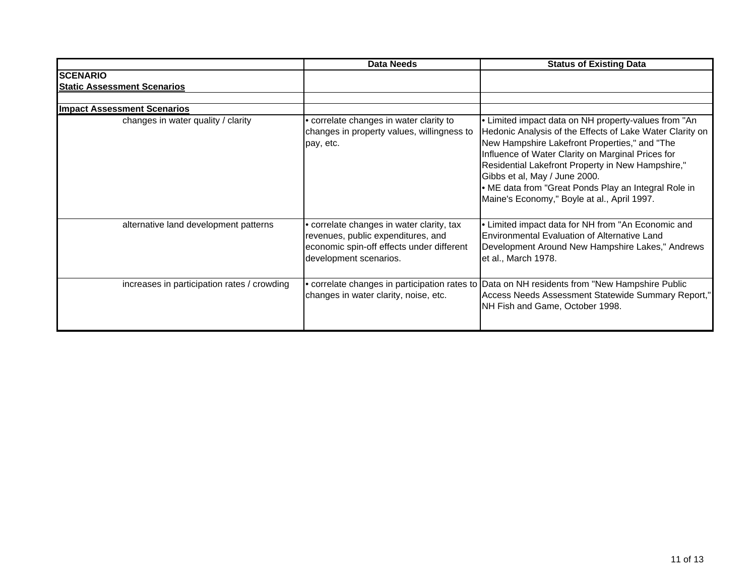|                                                       | <b>Data Needs</b>                                                                                                                                      | <b>Status of Existing Data</b>                                                                                                                                                                                                                                                                                                                                                                                      |
|-------------------------------------------------------|--------------------------------------------------------------------------------------------------------------------------------------------------------|---------------------------------------------------------------------------------------------------------------------------------------------------------------------------------------------------------------------------------------------------------------------------------------------------------------------------------------------------------------------------------------------------------------------|
| <b>SCENARIO</b><br><b>Static Assessment Scenarios</b> |                                                                                                                                                        |                                                                                                                                                                                                                                                                                                                                                                                                                     |
| <b>Impact Assessment Scenarios</b>                    |                                                                                                                                                        |                                                                                                                                                                                                                                                                                                                                                                                                                     |
| changes in water quality / clarity                    | correlate changes in water clarity to<br>changes in property values, willingness to<br>pay, etc.                                                       | • Limited impact data on NH property-values from "An<br>Hedonic Analysis of the Effects of Lake Water Clarity on<br>New Hampshire Lakefront Properties," and "The<br>Influence of Water Clarity on Marginal Prices for<br>Residential Lakefront Property in New Hampshire,"<br>Gibbs et al, May / June 2000.<br>• ME data from "Great Ponds Play an Integral Role in<br>Maine's Economy," Boyle at al., April 1997. |
| alternative land development patterns                 | • correlate changes in water clarity, tax<br>revenues, public expenditures, and<br>economic spin-off effects under different<br>development scenarios. | . Limited impact data for NH from "An Economic and<br>Environmental Evaluation of Alternative Land<br>Development Around New Hampshire Lakes," Andrews<br>et al., March 1978.                                                                                                                                                                                                                                       |
| increases in participation rates / crowding           | changes in water clarity, noise, etc.                                                                                                                  | • correlate changes in participation rates to Data on NH residents from "New Hampshire Public<br>Access Needs Assessment Statewide Summary Report,"<br>NH Fish and Game, October 1998.                                                                                                                                                                                                                              |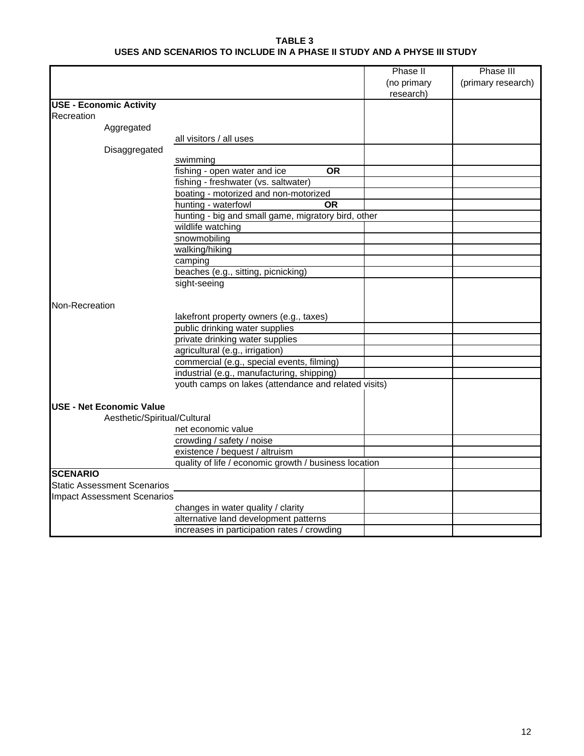#### **TABLE 3 USES AND SCENARIOS TO INCLUDE IN A PHASE II STUDY AND A PHYSE III STUDY**

|                                    |                                                       | Phase II    | Phase III          |
|------------------------------------|-------------------------------------------------------|-------------|--------------------|
|                                    |                                                       | (no primary | (primary research) |
|                                    |                                                       | research)   |                    |
| <b>USE - Economic Activity</b>     |                                                       |             |                    |
| Recreation                         |                                                       |             |                    |
| Aggregated                         |                                                       |             |                    |
|                                    | all visitors / all uses                               |             |                    |
| Disaggregated                      |                                                       |             |                    |
|                                    | swimming                                              |             |                    |
|                                    | fishing - open water and ice<br><b>OR</b>             |             |                    |
|                                    | fishing - freshwater (vs. saltwater)                  |             |                    |
|                                    | boating - motorized and non-motorized                 |             |                    |
|                                    | hunting - waterfowl<br><b>OR</b>                      |             |                    |
|                                    | hunting - big and small game, migratory bird, other   |             |                    |
|                                    | wildlife watching                                     |             |                    |
|                                    | snowmobiling                                          |             |                    |
|                                    | walking/hiking                                        |             |                    |
|                                    | camping                                               |             |                    |
|                                    | beaches (e.g., sitting, picnicking)                   |             |                    |
|                                    | sight-seeing                                          |             |                    |
|                                    |                                                       |             |                    |
| Non-Recreation                     |                                                       |             |                    |
|                                    | lakefront property owners (e.g., taxes)               |             |                    |
|                                    | public drinking water supplies                        |             |                    |
|                                    | private drinking water supplies                       |             |                    |
|                                    | agricultural (e.g., irrigation)                       |             |                    |
|                                    | commercial (e.g., special events, filming)            |             |                    |
|                                    | industrial (e.g., manufacturing, shipping)            |             |                    |
|                                    | youth camps on lakes (attendance and related visits)  |             |                    |
|                                    |                                                       |             |                    |
| USE - Net Economic Value           |                                                       |             |                    |
| Aesthetic/Spiritual/Cultural       |                                                       |             |                    |
|                                    | net economic value                                    |             |                    |
|                                    | crowding / safety / noise                             |             |                    |
|                                    | existence / bequest / altruism                        |             |                    |
|                                    | quality of life / economic growth / business location |             |                    |
| <b>SCENARIO</b>                    |                                                       |             |                    |
| <b>Static Assessment Scenarios</b> |                                                       |             |                    |
| <b>Impact Assessment Scenarios</b> |                                                       |             |                    |
|                                    | changes in water quality / clarity                    |             |                    |
|                                    | alternative land development patterns                 |             |                    |
|                                    | increases in participation rates / crowding           |             |                    |